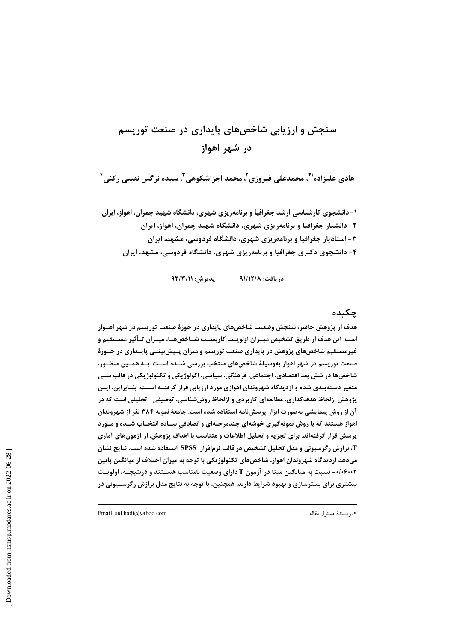# سنجش و ارزیابی شاخصهای پایداری در صنعت توریسم در شهر اهواز

هادی علیزاده''ْ، محمدعلی فیروزی'ْ، محمد اجزاشکوهی''ّ، سیده نرگس نقیبی رکنی ٔ

۱– دانشجوی کارشناسی ارشد جغرافیا و برنامهریزی شهری، دانشگاه شهید چمران، اهواز، ایران ۲- دانشیار جغرافیا و برنامهریزی شهری، دانشگاه شهید چمران، اهواز، ایران ۳- استادیار جغرافیا و برنامهریزی شهری، دانشگاه فردوسی، مشهد، ایران ۴- دانشجوی دکتری جغرافیا و برنامهریزی شهری، دانشگاه فردوسی، مشهد، ایران

> $47/T/11$  يذيرش: دريافت: ٩١/١٢/٨

## چکیده

هدف از پژوهش حاضر، سنجش وضعیت شاخصهای پایداری در حوزهٔ صنعت توریسم در شهر اهــواز است. این هدف از طریق تشخیص میــزان اولویــت کاربســت شــاخصهــا، میــزان تــأثیر مســتقیم و غیرمستقیم شاخصهای پژوهش در پایداری صنعت توریسم و میزان پـیشبینــی پایــداری در حــوزهٔ صنعت توریسم در شهر اهواز بهوسیلهٔ شاخصهای منتخب بررسی شــده اســت. بــه همــین منظــور، شاخصها در شش بعد اقتصادی، اجتماعی، فرهنگی، سیاسی، اکولوژیکی و تکنولوژیکی در قالب ســی متغیر دستهبندی شده و ازدیدگاه شهروندان اهوازی مورد ارزیابی قرار گرفتــه اســت. بنــابراین، ایــن پژوهش ازلحاظ هدف گذاری، مطالعهای کاربردی و ازلحاظ روششناسی، توصیفی- تحلیلی است که در آن از روش پیمایشی بهصورت ابزار پرسشنامه استفاده شده است. جامعهٔ نمونه ۳۸۴ نفر از شهروندان اهواز هستند که با روش نمونهگیری خوشهای چندمرحلهای و تصادفی سـاده انتخـاب شــده و مــورد پرسش قرار گرفتهاند. برای تجزیه و تحلیل اطلاعات و متناسب با اهداف پژوهش، از آزمونهای آماری T، برازش رگرسیونی و مدل تحلیل تشخیص در قالب نرمافزار SPSS استفاده شده است. نتایج نشان میدهد ازدیدگاه شهروندان اهواز، شاخصهای تکنولوژیکی با توجه به میزان اختلاف از میانگین پایین ۰/۰۶۰۰۲- نسبت به میانگین مبنا در آزمون T دارای وضعیت نامناسب هســتند و درنتیجــه، اولویــت بیشتری برای بسترسازی و بهبود شرایط دارند. همچنین، با توجه به نتایج مدل برازش رگرســیونی در

Email: std.hadi@yahoo.com

\* نويسندة مسئول مقاله: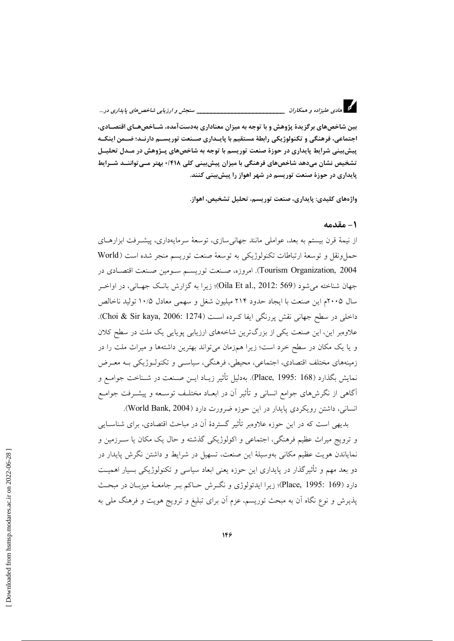\_\_\_\_\_\_ سنجش و ارزيابي شاخص هاي پايداري در...

بین شاخصهای بر گزیدهٔ پژوهش و با توجه به میزان معناداری بهدستآمده، شــاخص هــای اقتصــادی، اجتماعي، فرهنگي و تکنولوژيکي رابطۀ مستقيم يا پاييداري صينعت توريسيم دارنيد؛ ضيمن اينکيه پیش بینی شرایط پایداری در حوزهٔ صنعت توریسم با توجه به شاخصهای پــژوهش در مــدل تحلیــل تشخیص نشان میدهد شاخصهای فرهنگی با میزان پیش،پینی کلی ۰/۴۱۸ بهتر مـی تواننــد شــرایط پایداری در حوزهٔ صنعت توریسم در شهر اهواز را پیش بینی کنند.

واژههای کلیدی: پایداری، صنعت توریسم، تحلیل تشخیص، اهواز.

#### ١ – مقدمه

از نیمهٔ قرن بیستم به بعد، عواملی مانند جهانی سازی، توسعهٔ سرمایهداری، پیشـرفت ابزارهــای حمل ونقل و توسعهٔ ارتباطات تکنولوژیکی به توسعهٔ صنعت توریسم منجر شده است (World Tourism Organization, 2004). امروزه، صنعت توریسیم سیومین صنعت اقتصادی در جهان شناخته می شود (Oila Et al., 2012: 569)؛ زیرا به گزارش بانک جهـانی، در اواخـر سال ۲۰۰۵م این صنعت با ایجاد حدود ۲۱۴ میلیون شغل و سهمی معادل ۱۰/۵ تولید ناخالص داخلی در سطح جهانی نقش پررنگی ایفا کـرده اســت (Choi & Sir kaya, 2006: 1274). علاوهبر این، این صنعت یکی از بزرگترین شاخههای ارزیابی پویایی یک ملت در سطح کلان و یا یک مکان در سطح خرد است؛ زیرا همزمان می تواند بهترین داشتهها و میراث ملت را در زمینههای مختلف اقتصادی، اجتماعی، محیطی، فرهنگی، سیاســی و تکنولــوژیکی بــه معــرض نمايش بگذارد (Place, 1995: 168). بهدليل تأثير زيـاد ايـن صـنعت در شـناخت جوامـع و آگاهی از نگرش،های جوامع انسانی و تأثیر آن در ابعـاد مختلـف توسـعه و پیشــرفت جوامــع انسانی، داشتن رویکردی پایدار در این حوزه ضرورت دارد (World Bank, 2004).

بدیهی است که در این حوزه علاوهبر تأثیر گستردهٔ آن در مباحث اقتصادی، برای شناسـایی و ترویج میراث عظیم فرهنگی، اجتماعی و اکولوژیکی گذشته و حال یک مکان یا سـرزمین و نمایاندن هویت عظیم مکانی بهوسیلهٔ این صنعت، تسهیل در شرایط و داشتن نگرش پایدار در دو بعد مهم و تأثیرگذار در پایداری این حوزه یعنی ابعاد سیاسی و تکنولوژیکی بسیار اهمیت دارد (Place, 1995: 169)؛ زيرا ايدئولوژي و نگـرش حـاكم بـر جامعــهٔ ميزبــان در مبحــث پذیرش و نوع نگاه آن به مبحث توریسم، عزم آن برای تبلیغ و ترویج هویت و فرهنگ ملی به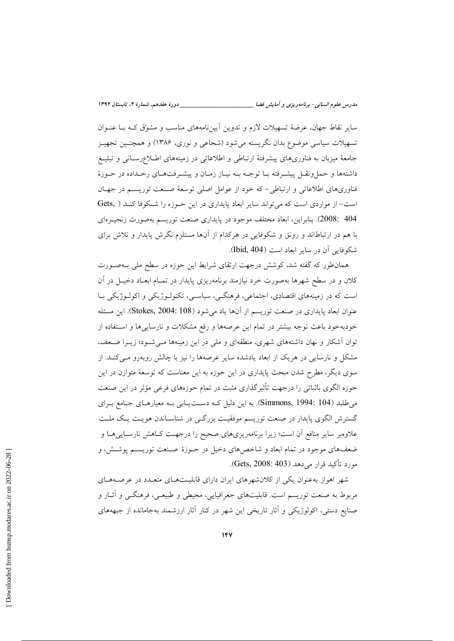سایر نقاط جهان، عرضهٔ تسهیلات لازم و تدوین آییننامههای مناسب و مشوِّق کـه بـا عنـوان تسهیلات سیاسی موضوع بدان نگریسته میشود (شجاعی و نوری، ۱۳۸۶) و همچنـین تجهیــز جامعهٔ میزبان به فناوریهای پیشرفتهٔ ارتباطی و اطلاعاتی در زمینههای اطللاعرسانی و تبلیـغ داشتهها و حمل ونقـل پیشـرفته بـا توجـه بـه نیـاز زمـان و پیشـرفتهـای رخـداده در حـوزهٔ فناوریهای اطلاعاتی و ارتباطی- که خود از عوامل اصلی توسعهٔ صنعت توریسـم در جهـان است- از مواردی است که می تواند سایر ابعاد پایداری در این حـوزه را شـکوفا کنـد ( Gets, 404 :2008). بنابراين، ابعاد مختلف موجود در پايداري صنعت توريسم بهصورت زنجيـرِهاي با هم در ارتباطاند و رونق و شکوفایی در هرکدام از آنها مستلزم نگرش پایدار و تلاش برای شكوفايي آن در ساير ابعاد است (Ibid, 404).

همانطور که گفته شد، کوشش درجهت ارتقای شرایط این حوزه در سطح ملی بـهصـورت کلان و در سطح شهرها بهصورت خرد نیازمند برنامهریزی پایدار در تمـام ابعـاد دخیـل در آن است که در زمینههای اقتصادی، اجتماعی، فرهنگــی، سیاســی، تکنولـوژیکی و اکولـوژیکی بـا عنوان ابعاد پایداری در صنعت توریسم از آنها یاد می شود (Stokes, 2004: 108). این مسئله خودبهخود باعث توجه بیشتر در تمام این عرصهها و رفع مشکلات و نارساییها و استفاده از توان آشکار و نهان داشتههای شهری، منطقهای و ملی در این زمینهها مـیشـود؛ زیــرا ضــعف، مشکل و نارسایی در هریک از ابعاد یادشده سایر عرصهها را نیز با چالش روبهرو مـیکنـد. از سوی دیگر، مطرح شدن مبحث پایداری در این حوزه به این معناست که توسعهٔ متوازن در این حوزه الگوی باثباتی را درجهت تأثیرگذاری مثبت در تمام حوزههای فرعی مؤثر در این صنعت می طلبد (Simmons, 1994: 104). به این دلیل کـه دسـتیـابی بـه معیارهـای جـامع بـرای گسترش الگوی پایدار در صنعت توریسم موفقیت بزرگی در شناسـاندن هویـت یـک ملـت علاوهبر سایر منافع آن است؛ زیرا برنامهریزیهای صحیح را درجهـت کـاهش نارسـاییهـا و ضعفهای موجود در تمام ابعاد و شاخصهای دخیل در حـوزهٔ صـنعت توریسـم پوشـش، و مورد تأكيد قرار مي دهد (Gets, 2008: 403).

شهر اهواز بهعنوان یکی از کلان هرهای ایران دارای قابلیتهای متعـدد در عرصـههـای مربوط به صنعت توریسم است. قابلیتهای جغرافیایی، محیطی و طبیعـی، فرهنگــی و آثــار و صنایع دستی، اکولوژیکی و آثار تاریخی این شهر در کنار آثار ارزشمند بهجامانده از جبهههای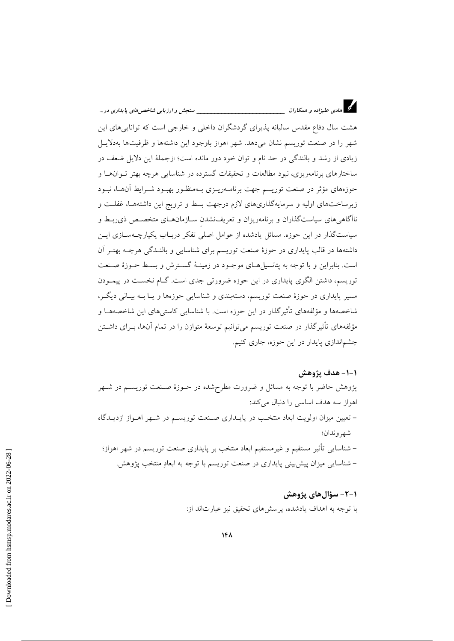هشت سال دفاع مقدس سالیانه پذیرای گردشگران داخلی و خارجی است که توانایی های این شهر را در صنعت توریسم نشان میدهد. شهر اهواز باوجود این داشتهها و ظرفیتها بهدلایبل زیادی از رشد و بالندگی در حد نام و توان خود دور مانده است؛ ازجملهٔ این دلایل ضعف در ساختارهای برنامهریزی، نبود مطالعات و تحقیقات گسترده در شناسایی هرچه بهتر تـوانهـا و حوزههای مؤثر در صنعت توریسم جهت برنامـهریـزی بـهمنظـور بهبـود شـرایط آنهـا، نبـود زیرساختهای اولیه و سرمایهگذاریهای لازم درجهت بسط و ترویج این داشتهها، غفلت و ناآگاهی های سیاستگذاران و برنامهریزان و تعریف:شدن سـازمانهــای متخصــص ذی٫ربــط و سیاستگذار در این حوزه. مسائل یادشده از عوامل اصلی تفکر دربـاب یکپارچــهســازی ایــن داشتهها در قالب پایداری در حوزهٔ صنعت توریسم برای شناسایی و بالنـدگی هرچـه بهتـر آن است. بنابراین و با توجه به پتانسیلهای موجبود در زمینـهٔ گسـترش و بسـط حـوزهٔ صـنعت توریسم، داشتن الگوی پایداری در این حوزه ضرورتی جدی است. گــام نخســت در پیمــودن مسیر پایداری در حوزهٔ صنعت توریسم، دستهبندی و شناسایی حوزهها و پیا بیه بیبانی دیگ ، شاخصهها و مؤلفههای تأثیرگذار در این حوزه است. با شناسایی کاستیهای این شاخصههـا و مؤلفههای تأثیرگذار در صنعت توریسم میتوانیم توسعهٔ متوازن را در تمام آنها، بــرای داشــتن چشماندازی پایدار در این حوزه، جاری کنیم.

١-١- هدف يژوهش

پژوهش حاضر با توجه به مسائل و ضرورت مطرحشده در حــوزهٔ صــنعت توریســم در شــهر اهواز سه هدف اساسی را دنبال میکند: – تعیین میزان اولویت ابعاد منتخب در پایـداری صـنعت توریســم در شــهر اهـواز ازدیــدگاه شهر و ندان؛ – شناسایی تأثیر مستقیم و غیرمستقیم ابعاد منتخب بر پایداری صنعت توریسم در شهر اهواز؛ – شناسایی میزان پیش بینی پایداری در صنعت توریسم با توجه به ابعادِ منتخب پژوهش.

> ١-٢- سؤالهاي پژوهش با توجه به اهداف یادشده، پرسشهای تحقیق نیز عبارتاند از: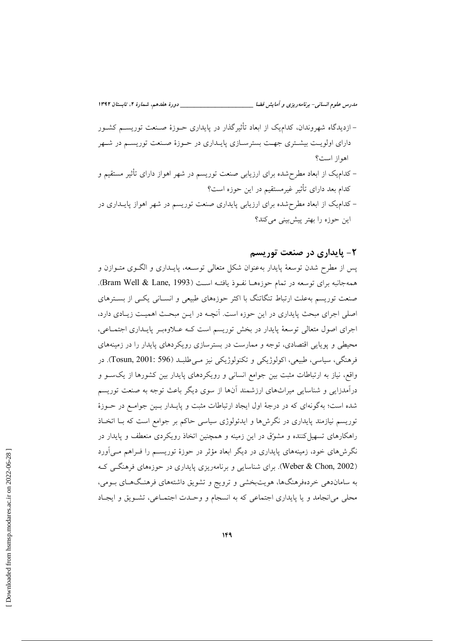| __ دورهٔ هفدهم، شمارهٔ ۲، تابستان ۱۳۹۲                                                    | مدرس علوم انسانی- برنامهریزی و آمایش فضا        |
|-------------------------------------------------------------------------------------------|-------------------------------------------------|
| – ازدیدگاه شهروندان، کدام،یک از ابعاد تأثیرگذار در پایداری حــوزهٔ صــنعت توریســم کشــور |                                                 |
| دارای اولویـت بیشـتری جهـت بسترسـازی پایـداری در حـوزهٔ صـنعت توریسـم در شـهر             |                                                 |
|                                                                                           | اهواز است؟                                      |
| – کدام،یک از ابعاد مطرحشده برای ارزیابی صنعت توریسم در شهر اهواز دارای تأثیر مستقیم و     |                                                 |
|                                                                                           | کدام بعد دارای تأثیر غیرمستقیم در این حوزه است؟ |
| – کدام،یک از ابعاد مطرح شده برای ارزیابی پایداری صنعت توریسم در شهر اهواز پایــداری در    |                                                 |
|                                                                                           | این حوزه را بهتر پیشبینی میکند؟                 |

#### ۲- پایداری در صنعت توریسم

پس از مطرح شدن توسعهٔ پایدار بهعنوان شکل متعالی توسـعه، پایــداری و الگــوی متــوازن و همهجانبه براي توسعه در تمام حوزههـا نفـوذ يافتـه اسـت (Bram Well & Lane, 1993). صنعت توریسم بهعلت ارتباط تنگاتنگ با اکثر حوزههای طبیعی و انسـانی یکــی از بســترهای اصلی اجرای مبحث پایداری در این حوزه است. آنچـه در ایـن مبحـث اهمیـت زیـادی دارد، اجرای اصول متعالی توسعهٔ پایدار در بخش توریسم است کـه عـلاوهبـر پایـداری اجتمـاعی، محیطی و پوپایی اقتصادی، توجه و ممارست در بسترسازی رویکردهای پایدار را در زمینههای فرهنگي، سياسي، طبيعي، اکولوژيکي و تکنولوژيکي نيز مـيطلبـد (Tosun, 2001: 596). در واقع، نیاز به ارتباطات مثبت بین جوامع انسانی و رویکردهای پایدار بین کشورها از یکسو و درآمدزایی و شناسایی میراثهای ارزشمند آنها از سوی دیگر باعث توجه به صنعت توریسم شده است؛ بهگونهای که در درجهٔ اول ایجاد ارتباطات مثبت و پایـدار بـین جوامـع در حـوزهٔ توریسم نیازمند پایداری در نگرش ها و ایدئولوژی سیاسی حاکم بر جوامع است که بــا اتخــاذ راهکارهای تسهیل کننده و مشورق در این زمینه و همچنین اتخاذ رویکردی منعطف و پایدار در نگرشهای خود، زمینههای پایداری در دیگر ابعاد مؤثر در حوزهٔ توریســم را فــراهـم مــی|ورد (Weber & Chon, 2002). برای شناسایی و برنامهریزی پایداری در حوزههای فرهنگـی کـه به ساماندهی خردهفرهنگها، هویتبخشی و ترویج و تشویق داشتههای فرهنگهـای بــومی، محلی میانجامد و یا پایداری اجتماعی که به انسجام و وحـدت اجتمـاعی، تشـویق و ایجـاد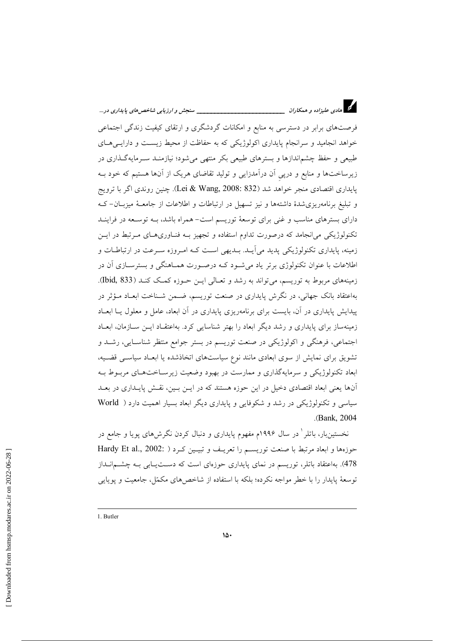د.<br>دا هادی علیزاده و همکاران \_\_\_\_\_\_\_\_\_\_ \_\_\_\_\_ سنجش و ارزيابي شاخص هاي پايداري در ... فرصتهای برابر در دسترسی به منابع و امکانات گردشگری و ارتقای کیفیت زندگی اجتماعی خواهد انجامید و سرانجام پایداری اکولوژیکی که به حفاظت از محیط زیست و دارایـیهـای طبیعی و حفظ چشم|ندازها و بسترهای طبیعی بکر منتهی میشود؛ نیازمنـد سـرمایهگـذاری در زیرساختها و منابع و درپی آن درآمدزایی و تولید تقاضای هریک از آنها هستیم که خود بـه پایداری اقتصادی منجر خواهد شد (Lei & Wang, 2008: 832). چنین روندی اگر با ترویج و تبلیغ برنامهریزی شدهٔ داشتهها و نیز تسهیل در ارتباطات و اطلاعات از جامعـهٔ میزبـان-کـه دارای بسترهای مناسب و غنی برای توسعهٔ توریسم است- همراه باشد، بــه توســعه در فراینــد تکنولوژیکی می|نجامد که درصورت تداوم استفاده و تجهیز بـه فنـاوریهـای مـرتبط در ایـن زمینه، پایداری تکنولوژیکی پدید می آیــد. بــدیهی اســت کــه امــروزه ســرعت در ارتباطــات و اطلاعات با عنوان تکنولوژی برتر یاد می شـود کـه درصـورت همـاهنگی و بسترســازی آن در زمینههای مربوط به توریسم، می تواند به رشد و تعـالی ایــن حــوزه کمــک کنــد (Bid, 833). بهاعتقاد بانک جهانی، در نگرش پایداری در صنعت توریسم، ضـمن شـناخت ابعـاد مـؤثر در پیدایش پایداری در آن، بایست برای برنامهریزی پایداری در آن ابعاد، عامل و معلول یــا ابعــاد زمینهساز برای پایداری و رشد دیگر ابعاد را بهتر شناسایی کرد. بهاعتقـاد ایــن ســازمان، ابعـاد اجتماعي، فرهنگي و اکولوژيکي در صنعت توريسم در بستر جوامع منتظر شناسـايي، رشــد و تشویق برای نمایش از سوی ابعادی مانند نوع سیاستهای اتخاذشده یا ابعـاد سیاسـی قضـیه، ابعاد تکنولوژیکی و سرمایهگذاری و ممارست در بهبود وضعیت زیرسـاختهـای مربـوط بـه آنها یعنی ابعاد اقتصادی دخیل در این حوزه هستند که در ایــن بــین، نقــش پایــداری در بعــد سیاسی و تکنولوژیکی در رشد و شکوفایی و پایداری دیگر ابعاد بسیار اهمیت دارد ( World .(Bank, 2004).

نخستینبار، باتلر ٰ در سال ۱۹۹۶م مفهوم پایداری و دنبال کردن نگرش۵ای پویا و جامع در حوزهها و ابعاد مرتبط با صنعت توريسم را تعريـف و تبيـين كـرد ( :Hardy Et al., 2002 478). بهاعتقاد باتلر، توریسم در نمای پایداری حوزهای است که دســتپــابی بــه چشـــمانــداز توسعهٔ پایدار را با خطر مواجه نکرده؛ بلکه با استفاده از شاخص های مکمّل، جامعیت و یوپایی

<sup>1.</sup> Butler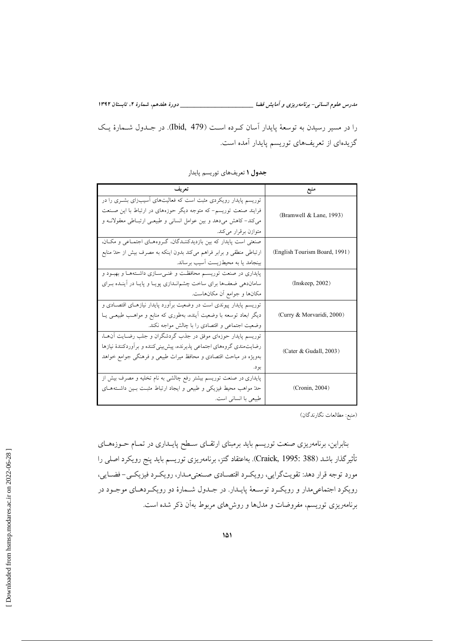مدرس علوم انسانی- برنامه ریزی و آمایش فضا \_\_\_\_\_\_\_\_\_\_\_\_\_\_\_\_\_\_\_\_\_\_\_\_\_\_\_\_\_\_ دورهٔ هفدهم، شمارهٔ ۲، تابستان ۱۳۹۲

را در مسیر رسیدن به توسعهٔ پایدار آسان که ده است (479 .Ibid). در جلدول شـمارهٔ یـک گزیدهای از تعریفهای توریسم پایدار آمده است.

| تعریف                                                                   |                               |
|-------------------------------------------------------------------------|-------------------------------|
| توریسم پایدار رویکردی مثبت است که فعالیتهای آسیبزای بشـری را در         |                               |
| فرایند صنعت توریسم- که متوجه دیگر حوزههای در ارتباط با این صنعت         | (Bramwell & Lane, 1993)       |
| می کند- کاهش میدهد و بین عوامل انسانی و طبیعی ارتباطی معقولانـه و       |                               |
| متوازن برقرار مىكند.                                                    |                               |
| صنعتی است پایدار که بین بازدیدکننـدگان، گـروههـای اجتمـاعی و مکـان،     |                               |
| ارتباطی منطقی و برابر فراهم میکند بدون اینکه به مصرف بیش از حدّ منابع   | (English Tourism Board, 1991) |
| بینجامد یا به محیطزیست اَسیب برساند.                                    |                               |
| پایداری در صنعت توریســم محافظــت و غنــیســازی داشــتههــا و بهبــود و |                               |
| ساماندهی ضعفها برای ساخت چشم نــدازی پویــا و پایــا در أینــده بــرای  | (Inkeep, 2002)                |
| مکانها و جوامع أن مکانهاست.                                             |                               |
| توریسم پایدار پیوندی است در وضعیت برآورد پایدار نیازهـای اقتصـادی و     |                               |
| دیگر ابعاد توسعه با وضعیت اَینده، بهطوری که منابع و مواهـب طبیعـی یــا  | (Curry & Morvaridi, 2000)     |
| وضعیت اجتماعی و اقتصادی را با چالش مواجه نکند.                          |                               |
| توریسم پایدار حوزهای موفق در جذب گردشگران و جلب رضـایت آن۱مـا،          |                               |
| رضایتمندی گروههای اجتماعی پذیرنده، پیش بینیکننده و برآوردکنندهٔ نیازها  | (Cater & Gudall, 2003)        |
| بهویژه در مباحث اقتصادی و محافظ میراث طبیعی و فرهنگی جوامع خواهد        |                               |
| بو د.                                                                   |                               |
| پایداری در صنعت توریسم بیشتر رفع چالشی به نام تخلیه و مصرف بیش از       |                               |
| حدّ مواهب محیط فیزیکی و طبیعی و ایجاد ارتباط مثبت بسین داشتههای         | (Cronin, 2004)                |
| طبیعی با انسانی است.                                                    |                               |

جدول ١ تعريفهاي توريسم پايدار

(منبع: مطالعات نگارندگان)

بنابراین، برنامهریزی صنعت توریسم باید برمبنای ارتقـای سـطح پایــداری در تمــام حــوزههــای تأثیرگذار باشد (Craick, 1995: 388). بهاعتقاد گتز، برنامهریزی توریسم باید پنج رویکرد اصلی را مورد توجه قرار دهد: تقویتگرایی، رویکرد اقتصادی صنعتیملدار، رویکرد فیزیکـی- فضـایی، رويکرد اجتماعي مدار و رويکرد توسـعهٔ پايـدار. در جـدول شـمارهٔ دو رويکـردهـاي موجـود در برنامهریزی توریسم، مفروضات و مدلها و روش۵ای مربوط بهآن ذکر شده است.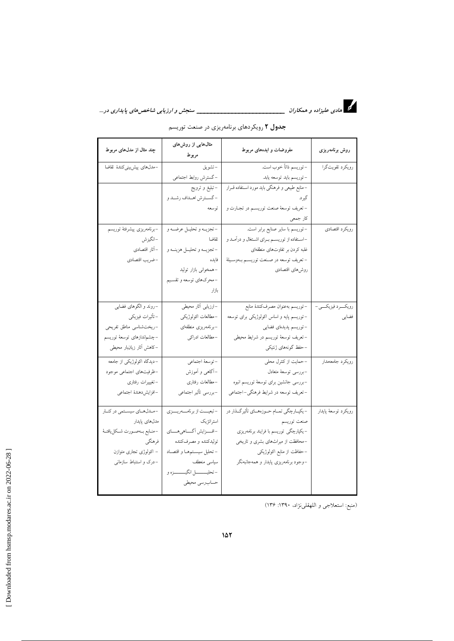

| چند مثال از مدلهای مربوط         | مثال هایی از روشهای<br>مربوط      | مفروضات و ایدههای مربوط                        | روش برنامهريزى       |
|----------------------------------|-----------------------------------|------------------------------------------------|----------------------|
| –مدل،های پیشیبینیکنندهٔ تقاضا    | –تشويق                            | –توريسم ذاتاً خوب است.                         | رويكرد تقويت گرا     |
|                                  | –گسترش روابط اجتماعی              | –توريسم بايد توسعه يابد.                       |                      |
|                                  | –تبليغ و ترويج                    | –منابع طبیعی و فرهنگی باید مورد استفاده قــرار |                      |
|                                  | - گســترش اهــداف رشــد و         | گير د.                                         |                      |
|                                  | توسعه                             | - تعريف توسعهٔ صنعت توريسم در تجـارت و         |                      |
|                                  |                                   | كار جمعي                                       |                      |
| –برنامەريزى پيشرفتۀ توريسم       | -تجزيــه و تحليــل عرضــه و       | -توریسم با سایر صنایع برابر است.               | رويكرد اقتصادي       |
| –انگيزش                          | تقاضا                             | -استفاده از توریسم برای اشتغال و درآمد و       |                      |
| – آثار اقتصادي                   | -تجزيمه و تحليمل هزينمه و         | غلبه کردن بر تفاوتهای منطقهای                  |                      |
| -ضريب اقتصادي                    | فايده                             | – تعریف توسعه در صـنعت توریسـم بــهوســیلهٔ    |                      |
|                                  | -همخوانی بازار تولید              | روشهاى اقتصادى                                 |                      |
|                                  | -محرکهای توسعه و تقسیم            |                                                |                      |
|                                  | بازار                             |                                                |                      |
| –روند و الگوهای فضایی            | –ارزيابي آثار محيطي               | –توريسم بهعنوان مصرفكنندة منابع                | رويكسرد فيزيكسي-     |
| - تأثيرات فيزيكي                 | -مطالعات اكولوژيكي                | –توریسم پایه و اساس اکولوژیکی برای توسعه       | فضايي                |
| -ريخت شناسي مناطق تفريحي         | –برنامەريزى منطقەاي               | –توريسم پديدهاى فضايى                          |                      |
| –چشم ندازهای توسعهٔ توریسم       | –مطالعات ادراک <sub>ی</sub>       | –تعریف توسعهٔ توریسم در شرایط محیطی            |                      |
| –کاهش آثار زيانبار محيطي         |                                   | –حفظ گونههای ژنتیکی                            |                      |
| -دیدگاه اکولوژیکی از جامعه       | -توسعة اجتماعي                    | -حمایت از کنترل محلی                           | رويكرد جامعهمدار     |
| -ظرفیتهای اجتماعی موجود          | –آگاهی و آموزش                    | –بررسى توسعهٔ متعادل                           |                      |
| –تغیییرات رفتاری                 | -مطالعات رفتارى                   | -بررسی جانشین برای توسعهٔ توریسم انبوه         |                      |
| -افزايشدهندة اجتماعي             | –بررسي تأثير اجتماعي              | –تعریف توسعه در شرایط فرهنگی–اجتماعی           |                      |
| -مدلهای سیستمی در کنار           | - تبعیست از برنامسهریسزی          | –یکپ[رچگی تمــام حــوزههــای تأثیرگـــذار در   | رويكرد توسعهٔ پايدار |
| مدل های پایدار                   | استراتژیک                         | صنعت توريسم                                    |                      |
| -منـابع بــهصــورت شــكليافتــهٔ | -افسزايش أكساهي هساي              | –یکپارچگی توریسم با فرایند برنامهریزی          |                      |
| فرهنگي                           | توليدكننده و مصرفكننده            | -محافظت از میراثهای بشری و تاریخی              |                      |
| – اکولوژی تجاری متوازن           | - تحليل سيستمهما و اقتصاد         | –حفاظت از منابع اکولوژیکی                      |                      |
| -درک و استنباط سازمانی           | سياسي منعطف                       | –وجود برنامهریزی پایدار و همهجانبهنگر          |                      |
|                                  | -تحليـــــــــل انگيـــــــــزه و |                                                |                      |
|                                  | حساب رسى محيطى                    |                                                |                      |

جدول ۲ رویکردهای برنامهریزی در صنعت توریسم

(منبع: استعلاجي و اللهقلينژاد، ۱۳۹۰: ۱۳۶)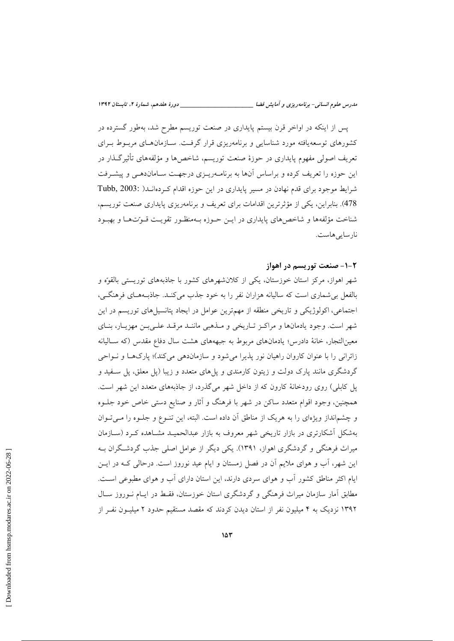یس از اینکه در اواخر قرن بیستم پایداری در صنعت توریسم مطرح شد، بهطور گسترده در کشورهای توسعهیافته مورد شناسایی و برنامهریزی قرار گرفت. سـازمانهـای مربـوط بـرای تعریف اصولی مفهوم پایداری در حوزهٔ صنعت توریسم، شاخصها و مؤلفههای تأثیرگـذار در این حوزه را تعریف کرده و براساس آنها به برنامـهریـزی درجهـت سـاماندهـی و پیشـرفت شرایط موجود برای قدم نهادن در مسیر پایداری در این حوزه اقدام که دهانــد( .Tubb, 2003 478). بنابراین، یکی از مؤثرترین اقدامات برای تعریف و برنامهریزی پایداری صنعت توریسم، شناخت مؤلفهها و شاخص های پایداری در این حـوزه بـهمنظـور تقویـت قـوّتهـا و بهبـود نارسايىھاست.

#### ۲-۱- صنعت توریسم در اهواز

شهر اهواز، مرکز استان خوزستان، یکی از کلان شهرهای کشور با جاذبههای توریستی بالقوّه و بالفعل بی شماری است که سالیانه هزاران نفر را به خود جذب می کنـد. جاذبـههـای فرهنگـی، اجتماعی، اکولوژیکی و تاریخی منطقه از مهمترین عوامل در ایجاد پتانسیل های توریسم در این شهر است. وجود یادمانها و مراکز تاریخی و مـذهبی ماننـد مرقـد علـی بـن مهزیـار، بنـای معینالتجار، خانهٔ دادرس؛ یادمانهای مربوط به جبهههای هشت سال دفاع مقدس (که سـالیانه زائرانی را با عنوان کاروان راهیان نور پذیرا می شود و سازماندهی می کند)؛ پارکها و نـواحی گردشگری مانند پارک دولت و زیتون کارمندی و پل۵های متعدد و زیبا (پل معلق، پل سـفید و یل کابلی) روی رودخانهٔ کارون که از داخل شهر میگذرد، از جاذبههای متعدد این شهر است. همچنین، وجود اقوام متعدد ساکن در شهر با فرهنگ و آثار و صنایع دستی خاص خود جلــوه و چشمانداز ویژهای را به هریک از مناطق آن داده است. البته، این تنـوع و جلـوه را مـی تـوان بهشکل آشکارتری در بازار تاریخی شهر معروف به بازار عبدالحمیـد مشـاهده کـرد (ســازمان میراث فرهنگی و گردشگری اهواز، ۱۳۹۱). یکی دیگر از عوامل اصلی جذب گردشگران بـه این شهر، آب و هوای ملایم آن در فصل زمستان و ایام عید نوروز است. درحالی کـه در ایــن ایام اکثر مناطق کشور آب و هوای سردی دارند، این استان دارای آب و هوای مطبوعی است. مطابق آمار سازمان میراث فرهنگی و گردشگری استان خوزستان، فقـط در ایـام نـوروز سـال ۱۳۹۲ نزدیک به ۴ میلیون نفر از استان دیدن کردند که مقصد مستقیم حدود ۲ میلیـون نفـر از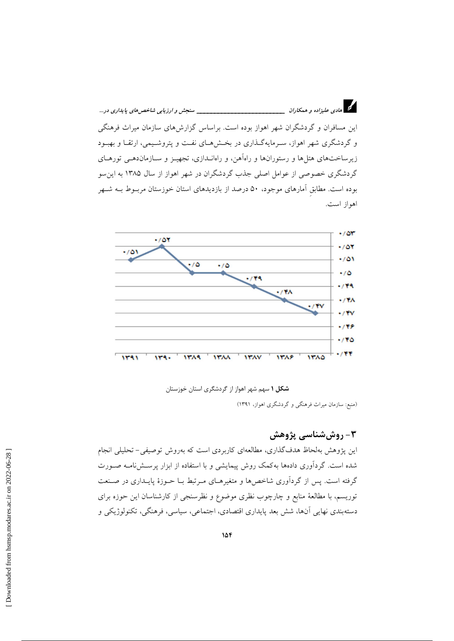\_\_\_\_\_ سنجش و ارزيابي شاخص هاي پايداري در ... این مسافران و گردشگران شهر اهواز بوده است. براساس گزارش های سازمان میراث فرهنگی و گردشگری شهر اهواز، سـرمایهگـذاری در بخـشهـای نفـت و پتروشـیمی، ارتقـا و بهبـود زیرساختهای هتلها و رستورانها و راهآهن، و راهانـدازی، تجهیـز و سـازماندهـی تورهـای گردشگری خصوصی از عوامل اصلی جذب گردشگران در شهر اهواز از سال ۱۳۸۵ به این سو بوده است. مطابق آمارهای موجود، ۵۰ درصد از بازدیدهای استان خوزستان مربـوط بــه شــهر اهواز است.





(منبع: سازمان میراث فرهنگی و گردشگری اهواز، ۱۳۹۱)

# ۳- روش شناسی پژوهش

این پژوهش بهلحاظ هدفگذاری، مطالعهای کاربردی است که بهروش توصیفی-تحلیلی انجام شده است. گردآوری دادهها بهکمک روش پیمایشی و با استفاده از ابزار پرسشنامـه صـورت گرفته است. پس از گردآوری شاخصها و متغیرهـای مـرتبط بـا حــوزهٔ پایــداری در صـنعت توریسم، با مطالعهٔ منابع و چارچوب نظری موضوع و نظرسنجی از کارشناسان این حوزه برای دستهبندي نهايي آنها، شش بعد پايداري اقتصادي، اجتماعي، سياسي، فرهنگي، تكنولوژيكي و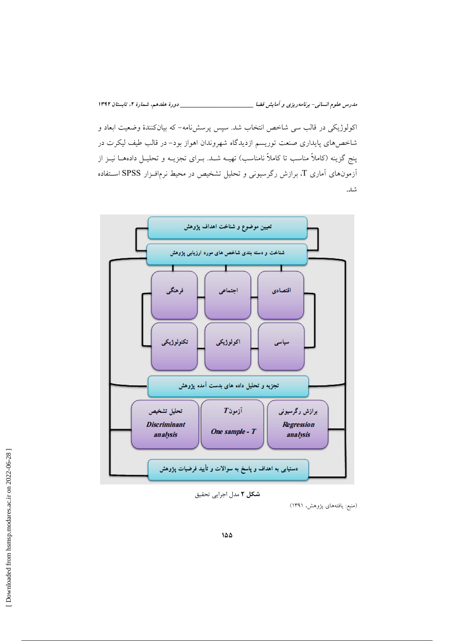مدرس علوم انسانی- برنامه ریزی و آمایش فضا \_\_\_\_\_\_\_\_\_\_\_\_\_\_\_\_\_\_\_\_\_\_\_\_\_\_\_\_\_\_ دورهٔ هفدهم، شمارهٔ ۲، تابستان ۱۳۹۲ اکولوژیکی در قالب سی شاخص انتخاب شد. سپس پرسشنامه- که بیانکنندهٔ وضعیت ابعاد و شاخصهای پایداری صنعت توریسم ازدیدگاه شهروندان اهواز بود– در قالب طیف لیکرت در پنج گزینه (کاملاً مناسب تا کاملاً نامناسب) تهیــه شــد. بــرای تجزیــه و تحلیــل دادههــا نیــز از آزمونهای آماری T، برازش رگرسیونی و تحلیل تشخیص در محیط نرمافـزار SPSS اسـتفاده



شکل ۲ مدل اجرایی تحقیق

(منبع: یافتههای پژوهش، ۱۳۹۱)

شد.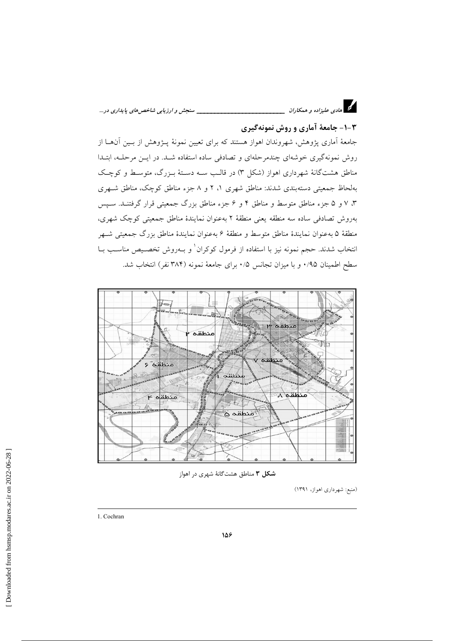#### ۱-۳- جامعهٔ آماری و روش نمونهگیری

جامعهٔ آماری پژوهش، شهروندان اهواز هستند که برای تعیین نمونهٔ پـژوهش از بـین آنهــا از روش نمونهگیری خوشهای چندمرحلهای و تصادفی ساده استفاده شـد. در ایـن مرحلـه، ابتـدا مناطق هشتگانهٔ شهرداری اهواز (شکل ۳) در قالب سـه دسـتهٔ بـزرگ، متوسـط و کوچـک بهلحاظ جمعیتی دستهبندی شدند: مناطق شهری ۱، ۲ و ۸ جزء مناطق کوچک، مناطق شـهری ۳، ۷ و ۵ جزء مناطق متوسط و مناطق ۴ و ۶ جزء مناطق بزرگ جمعیتی قرار گرفتنـد. سـیس بهروش تصادفی ساده سه منطقه يعنی منطقهٔ ۲ بهعنوان نمايندهٔ مناطق جمعيتی كوچک شهری، منطقهٔ ۵ بهعنوان نمایندهٔ مناطق متوسط و منطقهٔ ۶ بهعنوان نمایندهٔ مناطق بزرگ جمعیتی شـهر انتخاب شدند. حجم نمونه نیز با استفاده از فرمول کوکران <sup>۱</sup> و بــهروش تخصـیص مناسـب بــا سطح اطمینان ۰/۹۵ و با میزان تجانس ۰/۵ برای جامعهٔ نمونه (۳۸۴ نفر) انتخاب شد.



شکل ۳ مناطق هشتگانهٔ شهری در اهواز

(منبع: شهرداری اهواز، ۱۳۹۱)

<sup>1.</sup> Cochran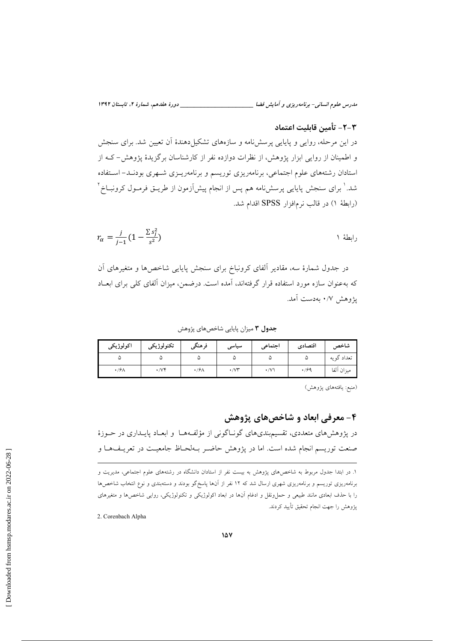مدرس علوم انسانی- برنامهریزی و آمایش فضا \_

### ٣–٢– تأمىن قابلىت اعتماد

در این مرحله، روایی و پایایی پرسشiامه و سازههای تشکیل دهندهٔ آن تعیین شد. برای سنجش و اطمینان از روایی ابزار پژوهش، از نظرات دوازده نفر از کارشناسان برگزیدهٔ پژوهش-که از استادان رشتههای علوم اجتماعی، برنامهریزی توریسم و برنامهریـزی شـهری بودنـد– اسـتفاده شد.' برای سنجش پایایی پرسشiامه هم پس از انجام پیشآزمون از طریـق فرمـول کرونبــاخ ` (رابطة ١) در قالب نرمافزار SPSS اقدام شد.

$$
r_{\alpha} = \frac{j}{j-1} \left( 1 - \frac{\sum s_j^2}{s^2} \right)
$$

در جدول شمارهٔ سه، مقادیر آلفای کرونباخ برای سنجش پایایی شاخصها و متغیرهای آن که بهعنوان سازه مورد استفاده قرار گرفتهاند، آمده است. درضمن، میزان آلفای کلی برای ابعـاد پژوهش ۰/۷ بهدست آمد.

جدول ۳ میزان پایایی شاخصهای پژوهش

| اكولوژيكى | تكنولوژيكى | فرهنگى                  | سیاسی          | اجتماعي | اقتصادى | شاخص<br>ີ  |
|-----------|------------|-------------------------|----------------|---------|---------|------------|
|           |            |                         |                |         |         | تعداد گويه |
| ۰/۶۸      | $. /V^*$   | $\cdot$ / $\frac{1}{2}$ | $\sim$<br>•/V1 | ۰/۷     | .199    | ميزان آلفا |

(منبع: يافتههاي يژوهش)

### ۴- معرفی ابعاد و شاخصهای پژوهش

در پژوهشهای متعددی، تقسیمبندیهای گونـاگونی از مؤلفـههـا و ابعـاد پایــداری در حــوزهٔ صنعت توریسم انجام شده است. اما در یژوهش حاضـر بـهلحـاظ جامعیـت در تعریـفهـا و

2. Corenbach Alpha

۱. در ابتدا جدول مربوط به شاخصهای پژوهش به بیست نفر از استادان دانشگاه در رشتههای علوم اجتماعی، مدیریت و برنامهریزی توریسم و برنامهریزی شهری ارسال شد که ۱۲ نفر از آنها پاسخگو بودند و دستهبندی و نوع انتخاب شاخصها را با حذف ابعادی مانند طبیعی و حمل ونقل و ادغام آنها در ابعاد اکولوژیکی و تکنولوژیکی، روایی شاخصها و متغیرهای يژوهش را جهت انجام تحقيق تأييد كردند.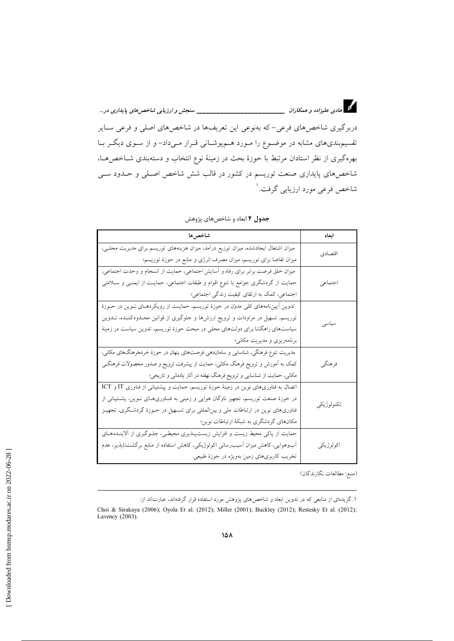د.<br>دا هادی علیزاده و همکاران <u>میدند. میدند که دست میدند میدند می</u> سنجش *و ارزیابی شاخص های پایداری در ...* دربرگیری شاخصهای فرعی- که بهنوعی این تعریفها در شاخصهای اصلی و فرعی سـایر تقسیم.بندیهای مشابه در موضـوع را مـورد هــمپوشــانی قــرار مــیداد– و از ســوی دیگــر بــا بهرهگیری از نظر استادان مرتبط با حوزهٔ بحث در زمینهٔ نوع انتخاب و دستهبندی شــاخصهـا، شاخصهای پایداری صنعت توریسم در کشور در قالب شش شاخص اصـلی و حــدود ســی شاخص فرعي مورد ارزيابي گرفت.<sup>ا</sup>

| شاخصها                                                                                  | ابعاد      |
|-----------------------------------------------------------------------------------------|------------|
| میزان اشتغال ایجادشده، میزان توزیع درآمد، میزان هزینههای توریسم برای مدیریت محلـی،      | اقتصادي    |
| میزان تقاضا برای توریسم، میزان مصرف انرژی و منابع در حوزهٔ توریسم؛                      |            |
| میزان خلق فرصت برابر برای رفاه و آسایش اجتماعی، حمایت از انسجام و وحدت اجتماعی،         |            |
| حمایت از گردشگری جوامع با تنوع اقوام و طبقات اجتماعی، حمایـت از ایمنــی و ســلامتی      | اجتماعي    |
| اجتماعی، کمک به ارتقای کیفیت زندگی اجتماعی؛                                             |            |
| تدوین اَییننامههای کلی مدونن در حوزهٔ توریسم، حمایـت از رویکردهـای نــوین در حــوزهٔ    |            |
| توریسم، تسهیل در مراودات و ترویج ارزشها و جلوگیری از قوانین محـدودکننـده، تــدوین       | سياسى      |
| سیاستهای راهگشا برای دولتهای محلی در مبحث حوزهٔ توریسم، تدوین سیاست در زمینهٔ           |            |
| برنامەریزی و مدیریت مکانی؛                                                              |            |
| مدیریت تنوع فرهنگی، شناسایی و ساماندهی فرصتهای پنهان در حوزهٔ خردهفرهنگهای مکانی،       |            |
| کمک به آموزش و ترویج فرهنگ مکانی، حمایت از پیشرفت ترویج و صدور محصولات فرهنگــی         | فرهنگي     |
| مکانی، حمایت از شناسایی و ترویج فرهنگ نهفته در آثار یادمانی و تاریخی؛                   |            |
| اتصال به فناوریهای نوین در زمینهٔ حوزهٔ توریسم، حمایت و پیشتیبانی از فناوری IT و ICT    |            |
| در حوزهٔ صنعت توریسم، تجهیز ناوگان هوایی و زمینی به فنــاوریهــای نــوین، پشــتیبانی از | تكنولوژيكي |
| فناوریهای نوین در ارتباطات ملی و بین لمللی برای تســهیل در حــوزهٔ گردشــگری، تجهیــز   |            |
| مکانهای گردشگری به شبکهٔ ارتباطات نوین؛                                                 |            |
| حمایت از پاکی محیط زیست و افزایش زیستپــذیری محیطــی، جلــوگیری از اَلاینــدههــای      |            |
| آبوهوایی، کاهش میزان آسیب٫سانی اکولوژیکی، کاهش استفاده از منابع برگشتiاپذیر، عدم        | اكولوژيكي  |
| تخریب کاربریهای زمین بهویژه در حوزهٔ طبیعی.                                             |            |

جدول ۴ ابعاد و شاخصهای پژوهش

(منبع: مطالعات نگارندگان)

۱. گزیدمای از منابعی که در تدوین ابعاد و شاخصهای پژوهش مورد استفاده قرار گرفتهاند، عبارتاند از:

Choi & Sirakaya (2006); Oyola Et al. (2012); Miller (2001); Buckley (2012); Restesky Et al. (2012); Lavency  $(2003)$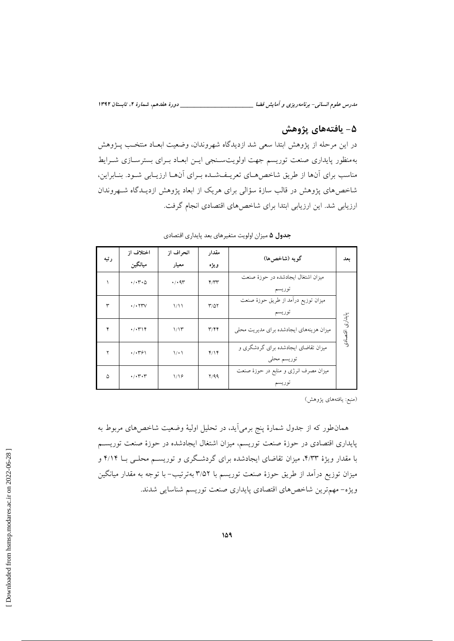\_\_\_\_\_\_\_ دورهٔ هفدهم، شمارهٔ ۲، تابستان ۱۳۹۲

مدرس علوم انسانی- برنامه ریزی و آمایش فضا \_\_\_\_\_\_

# ۵ – يافتەھاي پژوهش

در این مرحله از پژوهش ابتدا سعی شد ازدیدگاه شهروندان، وضعیت ابعـاد منتخـب پــژوهش بهمنظور پایداری صنعت توریسم جهت اولویتسـنجی ایـن ابعـاد بـرای بسترسـازی شـرایط مناسب برای آنها از طریق شاخصهای تعریـفشـده بـرای آنهـا ارزیـابی شـود. بنـابراین، شاخصهای پژوهش در قالب سازهٔ سؤالی برای هریک از ابعاد پژوهش ازدیــدگاه شــهروندان ارزیابی شد. این ارزیابی ابتدا برای شاخص های اقتصادی انجام گرفت.

|      | اختلاف از                                  | انحراف از            | مقدار                   | گويه (شاخصها)                            |                 |
|------|--------------------------------------------|----------------------|-------------------------|------------------------------------------|-----------------|
| رتبه | ميانگين                                    | معيار                | ويژه                    |                                          | بعد             |
|      | $\cdot/\cdot$ r $\cdot$ $\circ$            | $\cdot$ / $\cdot$ 9٣ | $4/\tau$                | میزان اشتغال ایجادشده در حوزهٔ صنعت      |                 |
|      |                                            |                      |                         | توريسم                                   |                 |
| ٣    | $\cdot$ / $\cdot$ $\uparrow \uparrow \vee$ | ۱/۱۱                 | $T/\Delta Y$            | ميزان توزيع درآمد از طريق حوزهٔ صنعت     |                 |
|      |                                            |                      |                         | توريسم                                   |                 |
| ۴    | $\cdot/\cdot$ ۳۱۴                          | 1/15                 | $\mathbf{r}/\mathbf{r}$ | میزان هزینههای ایجادشده برای مدیریت محلی | پایداری اقتصادی |
|      |                                            |                      |                         |                                          |                 |
| ۲    | $\cdot$ / $\cdot$ $\cdot$ $\cdot$ $\cdot$  | $\setminus \cdot$    | Y/Y                     | میزان تقاضای ایجادشده برای گردشگری و     |                 |
|      |                                            |                      |                         | توريسم محلي                              |                 |
| ۵    | $\cdot/\cdot$ r $\cdot$ r                  | 1/19                 | Y/99                    | میزان مصرف انرژی و منابع در حوزهٔ صنعت   |                 |
|      |                                            |                      |                         | توريسم                                   |                 |

جدول ۵ میزان اولویت متغیرهای بعد پایداری اقتصادی

(منبع: يافتههاي پژوهش)

همان طور که از جدول شمارهٔ پنج برمی اید، در تحلیل اولیهٔ وضعیت شاخصهای مربوط به پایداری اقتصادی در حوزهٔ صنعت توریسم، میزان اشتغال ایجادشده در حوزهٔ صنعت توریسم با مقدار ویژهٔ ۴/۳۳، میزان تقاضای ایجادشده برای گردشگری و توریسـم محلـی بــا ۴/۱۴ و میزان توزیع درآمد از طریق حوزهٔ صنعت توریسم با ۳٬۵۲ بهترتیب– با توجه به مقدار میانگین ويژه- مهمترين شاخصهاي اقتصادي پايداري صنعت توريسم شناسايي شدند.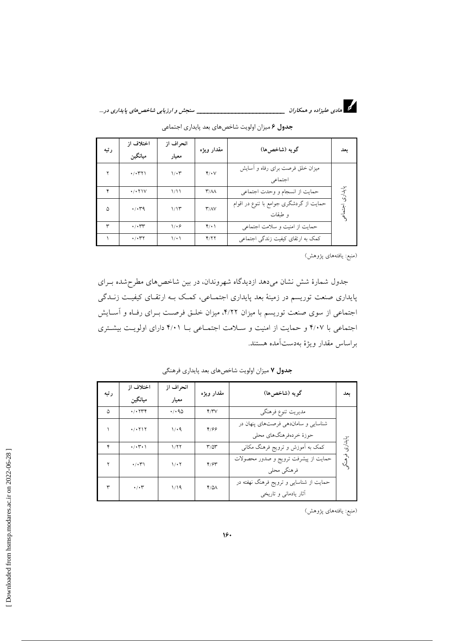

د.<br>دا هادی علیزاده و همکاران <u>میدند. میدند که دست میدند می است</u>جش *و ارزیابی شاخص های پایداری در ...* 

| رتبه | اختلاف از<br>ميانگين                    | انحراف از<br>معيار | مقدار ويژه                        | گويه (شاخصها)                                      | بعد     |
|------|-----------------------------------------|--------------------|-----------------------------------|----------------------------------------------------|---------|
|      | $\cdot$ / $\cdot$ ۳۲۱                   | $1/\cdot 7$        | Y/V                               | میزان خلق فرصت برای رفاه و آسایش<br>اجتماعي        |         |
|      | $\cdot$ / $\cdot$ $\uparrow$ $\uparrow$ | 1/11               | $\mathsf{r}/\mathsf{A}\mathsf{A}$ | حمايت از انسجام و وحدت اجتماعي                     | پايدارى |
| ۵    | $\cdot$ / $\cdot$ $4$                   | 1/15               | $\Upsilon/\Lambda\mathrm{V}$      | حمایت از گردشگری جوامع با تنوع در اقوام<br>و طبقات |         |
| ٣    | $\cdot/\cdot$ rr                        | 1.9                | $Y(\cdot)$                        | حمایت از امنیت و سلامت اجتماعی                     |         |
|      | $\cdot$ / $\cdot$ ۳۲                    | $\setminus \cdot$  | Y/YY                              | کمک به ارتقای کیفیت زندگی اجتماعی                  |         |

جدول ۶ میزان اولویت شاخصهای بعد پایداری اجتماعی

(منبع: يافتههاى پژوهش)

جدول شمارهٔ شش نشان میدهد ازدیدگاه شهروندان، در بین شاخصهای مطرحشده بـرای پایداری صنعت توریسم در زمینهٔ بعد پایداری اجتمــاعی، کمـک بــه ارتقــای کیفیــت زنــدگی اجتماعی از سوی صنعت توریسم با میزان ۴/۲۲، میزان خلـق فرصـت بـرای رفـاه و آسـایش اجتماعی با ۴/۰۷ و حمایت از امنیت و سلامت اجتماعی بـا ۴/۰۱ دارای اولویت بیشتری براساس مقدار ويژهٔ بهدستآمده هستند.

| رتبه | اختلاف از<br>ميانگين                           | انحراف از<br>معيار   | مقدار ويژه        | گويه (شاخصها)                                                    | ىعل     |
|------|------------------------------------------------|----------------------|-------------------|------------------------------------------------------------------|---------|
| ۵    | $\cdot$ / $\cdot$ $\uparrow \uparrow \uparrow$ | $\cdot$ / $\cdot$ 90 | Y/YV              | مديريت تنوع فرهنگي                                               |         |
|      | $\cdot$ / $\cdot$ $\uparrow$ $\uparrow$        | 1/4                  | Y/99              | شناسایی و ساماندهی فرصتهای پنهان در<br>حوزهٔ خردهفرهنگهای محلی   |         |
| ۴    | $\cdot/\cdot$ (* $\cdot$ )                     | 1/77                 | $r/\Delta r$      | کمک به آموزش و ترویج فرهنگ مکانی                                 | بايدارى |
|      | $\cdot/\cdot\tau$                              | $1/\cdot 7$          | $Y/\mathcal{F}Y$  | حمایت از پیشرفت ترویج و صدور محصولات<br>فرهنگي محلي              | ومنكه   |
| ٣    | $\cdot/\cdot7$                                 | 1/19                 | $Y/\Delta\Lambda$ | حمایت از شناسایی و ترویج فرهنگ نهفته در<br>أثار يادماني و تاريخي |         |

جدول ۷ میزان اولویت شاخصهای بعد پایداری فرهنگی

(منبع: يافتههاى پژوهش)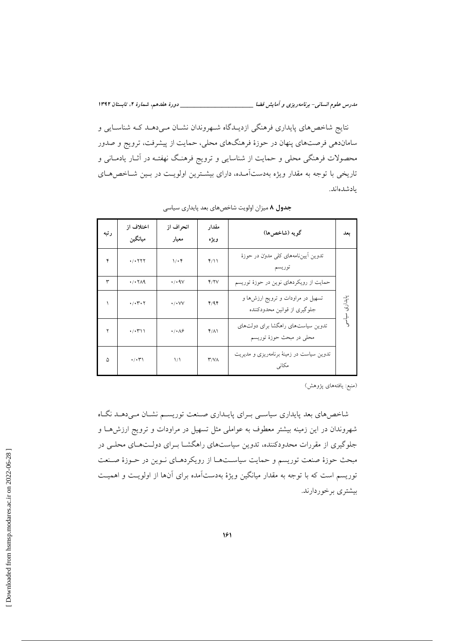مدرس علوم انسانی- برنامه ریزی و آمایش فضا \_\_\_\_\_\_\_\_\_\_\_\_\_\_\_\_\_\_\_\_\_\_\_\_\_\_\_\_\_\_ دورهٔ هفدهم، شمارهٔ ۲، تابستان ۱۳۹۲

نتایج شاخصهای پایداری فرهنگی ازدیـدگاه شـهروندان نشـان مـیدهـد کـه شناسـایی و ساماندهی فرصتهای پنهان در حوزهٔ فرهنگهای محلی، حمایت از پیشرفت، ترویج و صدور محصولات فرهنگی محلی و حمایت از شناسایی و ترویج فرهنگ نهفتـه در آثـار یادمــانی و تاریخی با توجه به مقدار ویژه بهدستآمـده، دارای بیشـترین اولویـت در بـین شـاخصهـای يادشده اند.

| رتبه | اختلاف از<br>ميانگين                              | انحراف از<br>معيار             | مقدار<br>ويژه       | گويه (شاخصها)                                                     | ىعل           |
|------|---------------------------------------------------|--------------------------------|---------------------|-------------------------------------------------------------------|---------------|
| ۴    | $\cdot$ / $\cdot$ $\cdot$ $\cdot$ $\cdot$ $\cdot$ | $1/\cdot$ ۴                    | Y/11                | تدوین اییننامههای کلی مدون در حوزهٔ<br>توريسم                     |               |
| ٣    | $\cdot$ $\cdot \cdot \cdot \wedge$                | $\cdot$ / $\cdot$ AV           | Y/Y                 | حمایت از رویکردهای نوین در حوزهٔ توریسم                           |               |
|      | $\cdot/\cdot$ $\cdot$ $\cdot$ $\cdot$             | $\cdot$ / $\cdot$ VV           | Y/9Y                | تسهیل در مراودات و ترویج ارزشها و<br>جلوگیری از قوانین محدودکننده | بايدارى       |
| ۲    | $\cdot$ / $\cdot$ $\uparrow$ \ \                  | $\cdot/\cdot\wedge\mathcal{S}$ | $f/\Lambda$         | تدوین سیاستهای راهگشا برای دولتهای<br>محلي در مبحث حوزهٔ توریسم   | را<br>را<br>ر |
| ۵    | $\cdot/\cdot$ (*)                                 | $\frac{1}{2}$                  | $\Upsilon/V\Lambda$ | تدوین سیاست در زمینهٔ برنامهریزی و مدیریت<br>مكانى                |               |

جدول ۸ میزان اولویت شاخصهای بعد پایداری سیاسی

(منبع: يافتههاى پژوهش)

شاخصهای بعد پایداری سیاسـی بـرای پایـداری صـنعت توریسـم نشـان مـی۵هـد نگـاه شهروندان در این زمینه بیشتر معطوف به عواملی مثل تسهیل در مراودات و ترویج ارزشها و جلوگیری از مقررات محدودکننده، تدوین سیاستهای راهگشـا بـرای دولـتهـای محلـی در مبحث حوزهٔ صنعت توریسم و حمایت سیاسـتهـا از رویکردهـای نـوین در حـوزهٔ صـنعت توریسم است که با توجه به مقدار میانگین ویژهٔ بهدستآمده برای آنها از اولویـت و اهمیـت بیشتری بر خوردارند.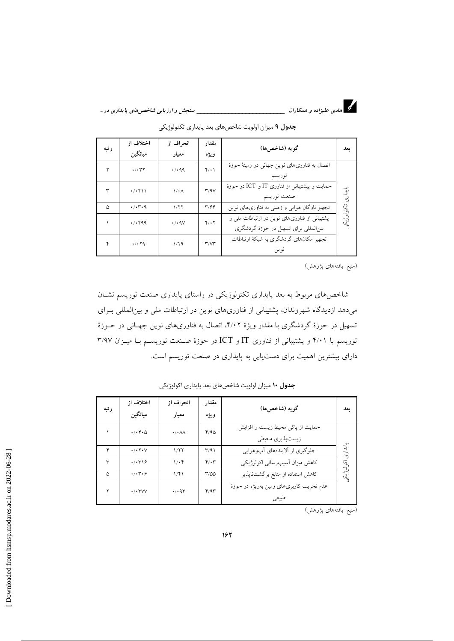

د.<br>دا هادی علیزاده و همکاران <u>میدند. میدند که دست میدند می است</u>جش *و ارزیابی شاخص های پایداری در ...* 

|      | اختلاف از                                          | انحراف از                       | مقدار                             | گويه (شاخصها)                                 |             |
|------|----------------------------------------------------|---------------------------------|-----------------------------------|-----------------------------------------------|-------------|
| رتبه | ميانگين                                            | معيار                           | ويژه                              |                                               | ىعد         |
|      | $\cdot/\cdot$ ۳۲                                   | 4.149                           | $Y(\cdot)$                        | اتصال به فناوریهای نوین جهانی در زمینهٔ حوزهٔ |             |
|      |                                                    |                                 |                                   | توريسم                                        |             |
| ٣    | $\cdot$ / $\cdot$ $\uparrow$ $\uparrow$ $\uparrow$ | $\mathcal{N} \cdot \mathcal{N}$ | Y/9V                              | حمایت و پیشتیبانی از فناوری IT و ICT در حوزهٔ |             |
|      |                                                    |                                 |                                   | صنعت توريسم                                   | پايدارى     |
| ۵    | $\cdot$ / $\cdot$ $\cdot$ 9                        | 1/77                            | $\mathbf{y}/\mathbf{y}$           | تجهیز ناوگان هوایی و زمینی به فناوریهای نوین  |             |
|      | 4/1799                                             | $\cdot$ / $\cdot$ 9 $\vee$      | $Y \cdot Y$                       | پشتیبانی از فناوریهای نوین در ارتباطات ملی و  | تكنولوژيكمو |
|      |                                                    |                                 |                                   | بینالمللی برای تسهیل در حوزهٔ گردشگری         |             |
|      | $\cdot$ / $\cdot$ 79                               | 1/19                            | $\mathsf{r}/\mathsf{v}\mathsf{r}$ | تجهیز مکانهای گردشگری به شبکهٔ ارتباطات       |             |
|      |                                                    |                                 |                                   | نوين                                          |             |

جدول ۹ میزان اولویت شاخصهای بعد پایداری تکنولوژیکی

(منبع: يافتههاي پژوهش)

شاخصهای مربوط به بعد پایداری تکنولوژیکی در راستای پایداری صنعت توریسم نشـان می دهد ازدیدگاه شهروندان، پشتیبانی از فناوری های نوین در ارتباطات ملی و بین المللی بـرای تسهیل در حوزهٔ گردشگری با مقدار ویژهٔ ۴/۰۲، اتصال به فناوریهای نوین جهـانی در حــوزهٔ توریسم با ۴/۰۱ و پشتیبانی از فناوری IT و ICT در حوزهٔ صنعت توریسـم بـا میـزان ۳/۹۷ دارای بیشترین اهمیت برای دست یابی به پایداری در صنعت توریسم است.

| رتبه | اختلاف از                                   | انحراف از                     | مقدار            | گويه (شاخصها)                            | ىعل       |
|------|---------------------------------------------|-------------------------------|------------------|------------------------------------------|-----------|
|      | ميانگين                                     | معيار                         | ويژه             |                                          |           |
|      | $\cdot/\cdot$ ۴۰۵                           | $\cdot / \cdot \wedge \wedge$ | Y/90             | حمایت از پاکی محیط زیست و افزایش         |           |
|      |                                             |                               |                  | زيست پذيري محيطي                         |           |
| ۴    | $\cdot$ / $\cdot$ $\uparrow$ $\cdot$ $\vee$ | 1/77                          | $\Gamma/91$      | جلوگیری از اَلایندههای آبوهوایی          | بايدارى   |
| ٣    | $\cdot$ / $\cdot$ ۳۱۶                       | $1/\cdot 7$                   | $Y \cdot Y$      | کاہش میزان آسیب رسانی اکولوژیکی          |           |
| ۵    | $\cdot$ / $\cdot$ ۳ $\cdot$ ۶               | 1/f1                          | $T/\Delta\Delta$ | کاهش استفاده از منابع برگشتناپذیر        | اكولوزيكى |
| ۲    | $\cdot/\cdot$ TVV                           | $\cdot$ / $\cdot$ 9٣          | Y/9Y             | عدم تخریب کاربریهای زمین بهویژه در حوزهٔ |           |
|      |                                             |                               |                  | طبيعي                                    |           |

جدول ١٠ ميزان اولويت شاخصهاي بعد پايداري اكولوژيكي

(منبع: یافتههای پژوهش)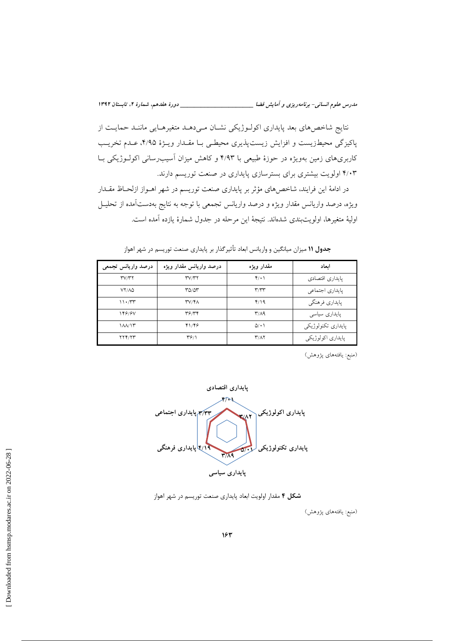نتايج شاخصهاي بعد پايداري اكولـوژيكي نشـان مـيدهـد متغيرهـايي ماننـد حمايـت از پاکیزگی محیطزیست و افزایش زیستپذیری محیطـی بـا مقـدار ویـژهٔ ۴/۹۵، عـدم تخریـب کاربریهای زمین بهویژه در حوزهٔ طبیعی با ۴/۹۳ و کاهش میزان آسیبرسانی اکولــوژیکی بــا ۴/۰۳ اولویت بیشتری برای بسترسازی پایداری در صنعت توریسم دارند.

در ادامهٔ این فرایند، شاخصهای مؤثر بر پایداری صنعت توریسم در شهر اهـواز ازلحـاظ مقـدار ويژه، درصد واريانس مقدار ويژه و درصد واريانس تجمعي با توجه به نتايج بهدستآمده از تحليـل اوليهٔ متغيرها، اولويتبندي شدهاند. نتيجهٔ اين مرحله در جدول شمارهٔ يازده آمده است.

| درصد واريانس تجمعي            | درصد واريانس مقدار ويژه | مقدار ويژه                        | اىعاد              |
|-------------------------------|-------------------------|-----------------------------------|--------------------|
| TVTT                          | TVTT                    | Y(1)                              | يايداري اقتصادي    |
| VY/AQ                         | ۳۵/۵۳                   | ۳٬۳۳                              | يايداري اجتماعي    |
| 11.77                         | <b>۳</b> ۷/۴۸           | 4/19                              | پايداري فرهنگي     |
| 148184                        | ۳۶/۳۴                   | $\mathsf{r}/\mathsf{A}$           | یایداری سیاسی      |
| $\lambda \lambda / \lambda r$ | 41/89                   | $\Delta$ / $\cdot$ )              | پايداري تكنولوژيكي |
| YYY/YY                        | $\mathbf{r}$ ۶/۱        | $\mathbf{r}/\mathbf{A}\mathbf{r}$ | پايداري اكولوژيكي  |

جدول ۱۱ میزان میانگین و واریانس ابعاد تأثیر گذار بر پایداری صنعت توریسم در شهر اهواز

(منبع: يافتههاي پژوهش)

پايداري اقتصادي ۴۳/۳ پایداری اجتماعی يايداري اكولوژيكي **KIAT** يايداري تكنولوژيكي ۴/۱۹ یایداری فرهنگی  $\sigma$  $Y/A9$ پایداری سیاسی

**شکل ۴** مقدار اولویت ابعاد پایداری صنعت توریسم در شهر اهواز

(منبع: يافتههاى پژوهش)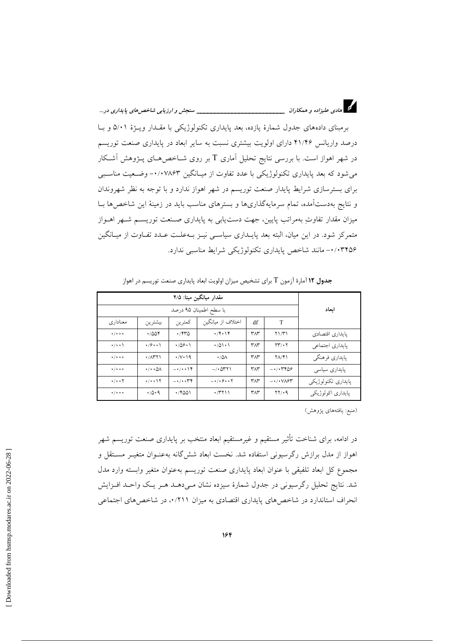| . سنجش و ارزيابي شاخص هاي پايداري در | م ای مادی علیزاده و همکاران |  |
|--------------------------------------|-----------------------------|--|
|                                      |                             |  |

برمبنای دادههای جدول شمارهٔ یازده، بعد پایداری تکنولوژیکی با مقـدار ویـژهٔ ۵/۰۱ و بـا درصد واریانس ۴۱/۴۶ دارای اولویت بیشتری نسبت به سایر ابعاد در پایداری صنعت توریسم در شهر اهواز است. با بررسی نتایج تحلیل آماری T بر روی شــاخصهـای پــژوهش آشــکار می شود که بعد پایداری تکنولوژیکی با عدد تفاوت از میـانگین ۰٬۰۷۸۶۳– وضـعیت مناسـبی برای بسترسازی شرایط پایدار صنعت توریسم در شهر اهواز ندارد و با توجه به نظر شهروندان و نتایج بهدستآمده، تمام سرمایهگذاریها و بسترهای مناسب باید در زمینهٔ این شاخصها بـا میزان مقدار تفاوتِ بهمراتب پایین، جهت دستیابی به پایداری صـنعت توریســم شــهر اهــواز متمرکز شود. در این میان، البته بعد پایــداری سیاســی نیــز بــهعلــت عــدد تفــاوت از میــانگین ۰/۰۳۴۵۶- مانند شاخص پایداری تکنولوژیکی شرایط مناسبی ندارد.

|                              | مقدار میانگین مبنا: ۲/۵              |                                     |                        |             |                                                      |                    |
|------------------------------|--------------------------------------|-------------------------------------|------------------------|-------------|------------------------------------------------------|--------------------|
|                              |                                      |                                     | با سطح اطمينان ۹۵ درصد |             |                                                      | ابعاد              |
| معناداری                     | بيشترين                              | كمترين                              | اختلاف از مبانگین      | df          | T                                                    |                    |
| $\star/\star\star\star$      | .7008                                | $\cdot$ /۴۳۵                        | $\cdot$ /۴۰۱۴          | $Y\wedge Y$ | $Y\frac{1}{T}$                                       | يايداري اقتصادي    |
| $\cdot/\cdot\cdot$           | $\cdot$ /9 $\cdot$ $\cdot$ $\wedge$  | $\cdot$ /09 $\cdot$ )               | $\cdot$ /01 $\cdot$ 1  | $Y\wedge Y$ | $\Upsilon\Upsilon/\Upsilon$                          | پايداري اجتماعي    |
| $\star/\star\star\star$      | $\cdot$ / $\wedge$ $\wedge$ $\wedge$ | $\cdot$ /v $\cdot$ 19               | $\cdot$ /0 $\land$     | $Y\wedge Y$ | $Y/\gamma Y$                                         | يايداري فرهنگي     |
| $\cdot$ / $\cdot$ $\cdot$    | $\cdot/\cdot\cdot\Delta\Lambda$      | $-\cdot/\cdot\cdot$ \ $\Upsilon$    | $-1.0411$              | $Y\wedge Y$ | $ \cdot$ $/$ $\cdot$ $\cdot$ $\cdot$ $\cdot$ $\cdot$ | یایداری سیاسی      |
| $\cdot/\cdot\cdot\mathsf{Y}$ | $\cdot/\cdot\cdot$ \ $\Upsilon$      | $-\cdot/\cdot\cdot\uparrow\uparrow$ | $-1/1911$              | $Y\wedge Y$ | $-\cdot/\cdot\sqrt{\lambda^{2}}$                     | يايداري تكنولوژيكي |
| $\cdot$ / $\cdot$ $\cdot$    | $\cdot$ /0.9                         | 4/8001                              | $\cdot$ /۳۲۱۱          | $Y\wedge Y$ | YY/4                                                 | پايداري اكولوژيكي  |

جدول ۱۲ آمارهٔ آزمون T برای تشخیص میزان اولویت ابعاد پایداری صنعت توریسم در اهواز

(منبع: یافتههای پژوهش)

در ادامه، برای شناخت تأثیر مستقیم و غیرمستقیم ابعاد منتخب بر پایداری صنعت توریسم شهر اهواز از مدل برازش رگرسیونی استفاده شد. نخست ابعاد شش&انه بهعنـوان متغیـر مسـتقل و مجموع كل ابعاد تلفيقي با عنوان ابعاد پايداري صنعت توريسم به عنوان متغير وابسته وارد مدل شد. نتایج تحلیل رگرسیونی در جدول شمارهٔ سیزده نشان مـی۵هــد هــر یــک واحــد افــزایش انحراف استاندارد در شاخصهای پایداری اقتصادی به میزان ۰/۲۱۱، در شاخصهای اجتماعی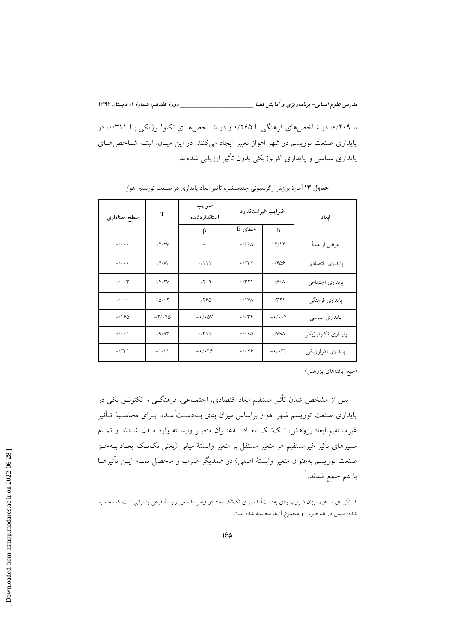مدرس علوم انسانی- برنامه ریزی و آمایش فضا \_\_\_\_\_\_\_\_\_\_\_\_\_\_\_\_\_\_\_\_\_\_\_\_\_\_\_\_\_\_\_ دورهٔ هفدهم، شمارهٔ ۲، تابستان ۱۳۹۲ با ۰/۲۰۹، در شاخص های فرهنگی با ۰/۲۶۵ و در شـاخص هـای تکنولـوژیکی بـا ۰/۳۱۱، در پایداری صنعت توریسم در شهر اهواز تغییر ایجاد میکنند. در این میـان، البتـه شـاخصهـای پایداری سیاسی و پایداری اکولوژیکی بدون تأثیر ارزیابی شدهاند.

| T<br>سطح معنادارى           |                       | ضرايب<br>استاندار دشده                     | ضرايب غيراستاندارد     |                                     | ابعاد              |  |
|-----------------------------|-----------------------|--------------------------------------------|------------------------|-------------------------------------|--------------------|--|
|                             |                       | β                                          | خطای B                 | B                                   |                    |  |
| $\cdot$ / $\cdot$ + $\cdot$ | 17/7V                 |                                            | $\cdot$ /99 $\wedge$   | 11/11                               | عرض از مبدأ        |  |
| $\cdot$ / $\cdot$ + $\cdot$ | 14/7                  | $\cdot$ /۲۱۱                               | $\cdot$ /۲۳۲           | .7809                               | پايداري اقتصادي    |  |
| $\cdot/\cdot\cdot$          | 14/7V                 | $\cdot$ / $\cdot$ 9                        | $\cdot$ /۳۲۱           | $\cdot$ / $\circ$ $\cdot$ $\wedge$  | پایداری اجتماعی    |  |
| $\cdot$ / $\cdot$ $\cdot$   | 10/17                 | 4/190                                      | $\cdot$ / ۱ V $\wedge$ | $\cdot$ /۳۲۱                        | پايداري فرهنگي     |  |
| $\cdot$ /160                | $-\gamma/\cdot\gamma$ | $ \cdot$ / $\cdot$ $\Delta V$              | $\cdot/\cdot$ ۳۴       | $-1$                                | پایداری سیاسی      |  |
| $\cdot/\cdot\cdot$          | 19/AT                 | $\cdot$ /۳۱۱                               | $\cdot$ / $\cdot$ 90   | $\cdot$ / $\vee$ 9 $\wedge$         | پايداري تكنولوژيكي |  |
| $\cdot$ /۲۳۱                | $-1/71$               | $ \cdot$ / $\cdot$ $\cdot$ $\cdot$ $\cdot$ | $\cdot/\cdot$ ۴۶       | $- \cdot / \cdot \Upsilon \Upsilon$ | پايداري اكولوژيكي  |  |

جدول ۱۳ آمارهٔ برازش رگرسیونی چندمتغیره تأثیر ابعاد پایداری در صنعت توریسم اهواز

(منبع: يافتههاي يژوهش)

پس از مشخص شدن تأثیر مستقیم ابعاد اقتصادی، اجتمــاعی، فرهنگــی و تکنولــوژیکی در پایداری صنعت توریسم شهر اهواز براساس میزان بتای بـهدســتآمـده، بــرای محاسـبهٔ تــأثیر غیرمستقیم ابعاد پژوهش، تـکتـک ابعـاد بـهعنـوان متغیـر وابسـته وارد مـدل شـدند و تمـام مسيرهاي تأثير غيرمستقيم هر متغير مستقل بر متغير وابستهٔ مياني (يعني تکتک ابعــاد بــهجــز صنعت توريسم بهعنوان متغير وابستهٔ اصلي) در همديگر ضرب و ماحصل تمـام ايــن تأثيرهــا با هم جمع شدند. ٰ

۱. تأثیر غیرمستقیم میزان ضرایب بتای بهدستآمده برای تکتک ابعاد در قیاس با متغیر وابستهٔ فرعی یا میانی است که محاسبه شده، سپس در هم ضرب و مجموع آنها محاسبه شده است.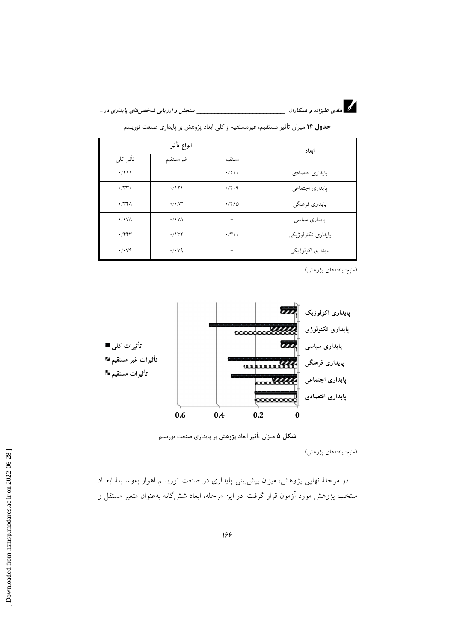

د.<br>دا هادی علیزاده و همکاران <u>میدند. به مورد می است. به می است</u> سنجش *و ارزیابی شاخص های پایداری در ...* 

| انواع تأثير                |                                       |                                   | ابعاد              |  |
|----------------------------|---------------------------------------|-----------------------------------|--------------------|--|
| تأثير كلى                  | غيرمستقيم                             | مستقيم                            |                    |  |
| $\cdot$ /٢١١               |                                       | $\cdot$ /۲۱۱                      | يايداري اقتصادي    |  |
| $\cdot$                    | $\cdot$ /171                          | $\cdot$ /٢٠٩                      | يايداري اجتماعي    |  |
| $\cdot$ /۳۴ $\wedge$       | $\cdot/\cdot\wedge\stackrel{}{\cdot}$ | 4/190                             | پايداري فرهنگي     |  |
| $\cdot/\cdot\,\vee\wedge$  | $\cdot$ / $\cdot$ $\vee$ $\wedge$     |                                   | پایداری سیاسی      |  |
| $\cdot$ /۴۴۳               | $\cdot$ /۱۳۲                          | $\cdot$ / $\uparrow$ ) $\uparrow$ | پايداري تكنولوژيكي |  |
| $\cdot$ / $\cdot$ $\vee$ 9 | $\cdot$ / $\cdot$ $\vee$ 9            |                                   | پايداري اکولوژيکي  |  |

جدول ۱۴ میزان تأثیر مستقیم، غیرمستقیم و کلی ابعاد پژوهش بر پایداری صنعت توریسم

(منبع: یافتههای پژوهش)



شکل ۵ میزان تأثیر ابعاد پژوهش بر پایداری صنعت توریسم

(منبع: یافتههای پژوهش)

در مرحلهٔ نهایی پژوهش، میزان پیشبینی پایداری در صنعت توریسم اهواز بهوسـیلهٔ ابعـاد منتخب پژوهش مورد آزمون قرار گرفت. در این مرحله، ابعاد شش گانه بهعنوان متغیر مستقل و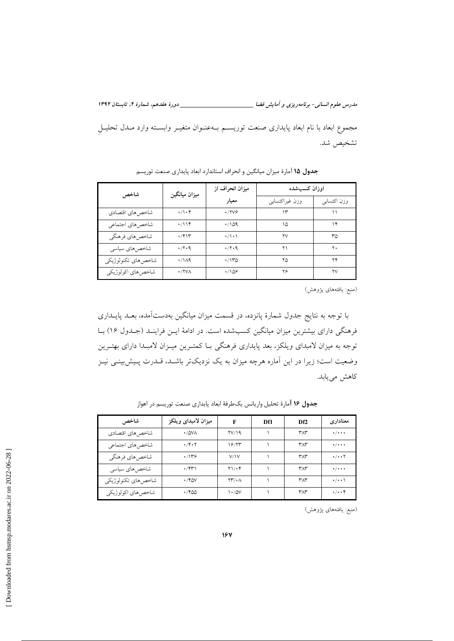مدرس علوم انسانی- برنامه ریزی و آمایش فضا \_\_\_\_\_\_\_\_\_\_\_\_\_\_\_\_\_\_\_\_\_\_\_\_\_\_\_\_\_\_\_ دورهٔ هفدهم، شمارهٔ ۲، تابستان ۱۳۹۲ مجموع ابعاد با نام ابعاد پایداری صنعت توریسـم بـهعنـوان متغیـر وابسـته وارد مـدل تحليـل تشخيص شد.

| شاخص               | ميزان ميانگين   | میزان انحراف از | اوزان كسبشده   |             |  |
|--------------------|-----------------|-----------------|----------------|-------------|--|
|                    |                 | معيار           | وزن غيراكتسابي | وزن اكتسابي |  |
| شاخصهاي اقتصادي    | $\cdot/\cdot$ ۴ | $\cdot$ /۲۷۶    | ۱۳             | ۱۱          |  |
| شاخصهاي اجتماعي    | $\cdot/114$     | .709            | ۱۵             | ۱۴          |  |
| شاخصهاي فرهنگي     | $\cdot$ /۴۱۳    | $\cdot/\cdot$   | ۲V             | ٣۵          |  |
| شاخصهاي سياسى      | $\cdot$ /۲۰۹    | $\cdot$ /۲۰۹    | ۲۱             | ۲۰          |  |
| شاخصهاي تكنولوژيكي | $\cdot$ /14     | $\cdot$ /۱۳۵    | ۲۵             | ۲۴          |  |
| شاخصهاي اكولوژيكي  | $\cdot$ /YVA    | $\cdot$ 108     | ۲۶             | ۲V          |  |

جدول 1۵ آمارهٔ میزان میانگین و انحراف استاندارد ابعاد پایداری صنعت توریسم

(منبع: يافتههاي پژوهش)

با توجه به نتایج جدول شمارهٔ پانزده، در قسمت میزان میانگین بهدستآمده، بعـد پایــداری فرهنگی دارای بیشترین میزان میانگین کسبشده است. در ادامهٔ ایــن فراینــد (جــدول ۱۶) بــا توجه به میزان لامبدای ویلکز، بعد پایداری فرهنگی بـا کمتـرین میـزان لامبـدا دارای بهتـرین وضعیت است؛ زیرا در این آماره هرچه میزان به یک نزدیکتر باشـد، قــدرت پـیش بینــی نیــز كاهش مىيابد.

| شاخص               | ميزان لامبداى ويلكز | F                               | Df1 | Df <sub>2</sub>                | معنادار ی                   |
|--------------------|---------------------|---------------------------------|-----|--------------------------------|-----------------------------|
| شاخص هاى اقتصادي   | $\cdot$ /0V/        | YV/19                           |     | $\mathsf{r}_\Lambda\mathsf{r}$ | $\cdot$ / $\cdot$ + $\cdot$ |
| شاخصهاي اجتماعي    | $\cdot$ /۴۰۲        | 18/۲۳                           |     | $\mathsf{r}_\Lambda\mathsf{r}$ | $\cdot$ / $\cdot$ + $\cdot$ |
| شاخصهاي فرهنگي     | .779                | V/Y                             |     | ۳۸۳                            | $\cdot/\cdot\cdot\gamma$    |
| شاخصهاي سياسى      | $\cdot$ /۴۳۱        | $Y \setminus \cdot Y$           |     | ۳۸۳                            | $\cdot$ / $\cdot$ + $\cdot$ |
| شاخصهاي تكنولوژيكي | $\cdot$ /۴۵۷        | $\Upsilon\Upsilon/\cdot\Lambda$ |     | $Y\Lambda Y$                   | $\cdot/\cdot\cdot$          |
| شاخصهاي اكولوژيكي  | ۱٬۴۵۵               | $\cdot$ /0V                     |     | ٣٨٣                            | $\cdot/\cdot\cdot$ ۴        |

جدول 1۶ آمارهٔ تحلیل واریانس یکطرفهٔ ابعاد پایداری صنعت توریسم در اهواز

(منبع: یافتههای پژوهش)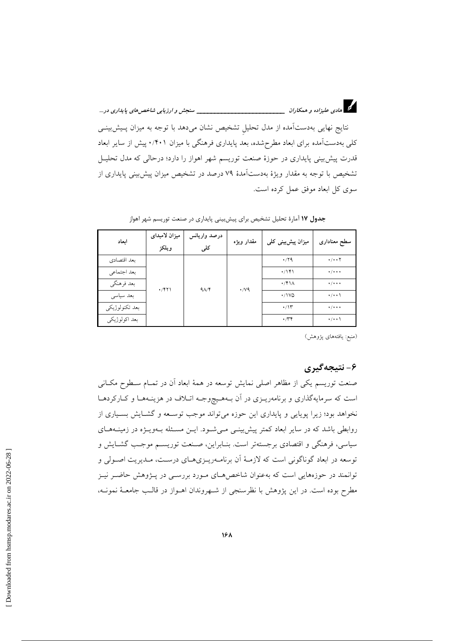\_\_\_\_\_\_\_\_\_\_ سنجش و ارزيابي شاخص هاي پايداري در ...

نتایج نهایی بهدستآمده از مدل تحلیل تشخیص نشان میدهد با توجه به میزان پـیشبینـی کلی بهدستآمده برای ابعاد مطرحشده، بعد پایداری فرهنگی با میزان ۰/۴۰۱ پیش از سایر ابعاد قدرت پیش بینی پایداری در حوزهٔ صنعت توریسم شهر اهواز را دارد؛ درحالی که مدل تحلیـل تشخیص با توجه به مقدار ویژهٔ بهدستآمدهٔ ۷۹ درصد در تشخیص میزان پیش بینی پایداری از سوی کل ابعاد موفق عمل کرده است.

| ابعاد          | ميزان لامبداى<br>ويلكز | درصد واريانس<br>کلی | مقدار ويژه         | میزان پیشبینی کلی               | سطح معنادارى                  |
|----------------|------------------------|---------------------|--------------------|---------------------------------|-------------------------------|
| بعد اقتصادي    |                        | 9/14                | $\cdot$ / $\vee$ 9 | $\cdot$ /۲۹                     | $\cdot/\cdot\cdot$ $\Upsilon$ |
| بعد اجتماعي    |                        |                     |                    | $\cdot$ /141                    | $\frac{1}{2}$                 |
| بعد فرهنگي     | $\cdot$ /۴۲۱           |                     |                    | $\cdot$ /۴۱۸                    | $\star/\star\star\star$       |
| بعد سياسي      |                        |                     |                    | $\cdot$ /1VQ                    | $\cdot/\cdot\cdot$            |
| بعد تكنولوژيكي |                        |                     |                    | $\cdot$ /۱۳                     | $\star/\star\star\star$       |
| بعد اكولوژيكي  |                        |                     |                    | $\cdot$ / $\uparrow$ $\uparrow$ | $\cdot/\cdot\cdot$            |

جدول ۱۷ آمارهٔ تحلیل تشخیص برای پیشبینی پایداری در صنعت توریسم شهر اهواز

(منبع: يافتههاى پژوهش)

## ۶- نتيجەگيرى

صنعت توریسم یکی از مظاهر اصلی نمایش توسعه در همهٔ ابعاد آن در تمـام سـطوح مکـانی است که سرمایهگذاری و برنامهریـزی در آن بـههـیچوجـه اتـلاف در هزینـههـا و کـارکردهـا نخواهد بود؛ زیرا پویایی و پایداری این حوزه میتواند موجب توسعه و گشـایش بسـیاری از روابطی باشد که در سایر ابعاد کمتر پیش بینسی می شـود. ایــن مسـئله بــهویــژه در زمینــههــای سیاسی، فرهنگی و اقتصادی برجستهتر است. بنـابراین، صـنعت توریســم موجـب گشــایش و توسعه در ابعاد گوناگونی است که لازمـهٔ آن برنامـهریـزیهـای درسـت، مـدیریت اصـولی و توانمند در حوزههایی است که بهعنوان شاخصهای مورد بررسـی در پــژوهش حاضــر نیــز مطرح بوده است. در این پژوهش با نظرسنجی از شـهروندان اهـواز در قالـب جامعـهٔ نمونـه،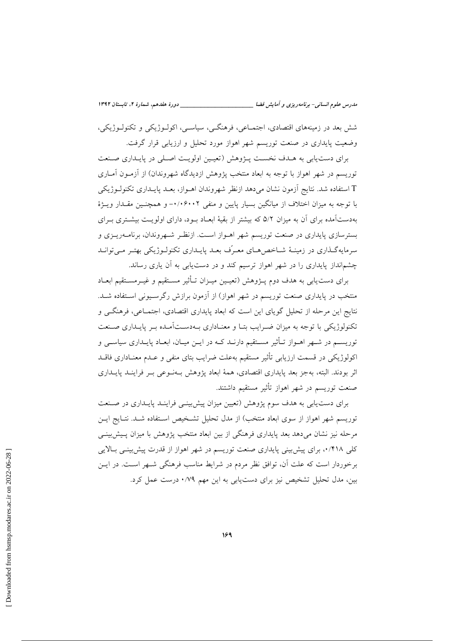شش بعد در زمینههای اقتصادی، اجتمــاعی، فرهنگــی، سیاســی، اکولــوژیکی و تکنولــوژیکی، وضعیت پایداری در صنعت توریسم شهر اهواز مورد تحلیل و ارزیابی قرار گرفت.

برای دست یابی به هـدف نخسـت پـژوهش (تعیـین اولویـت اصـلی در پایـداری صـنعت توریسم در شهر اهواز با توجه به ابعاد منتخب پژوهش ازدیدگاه شهروندان) از آزمـون آمـاری T استفاده شد. نتایج آزمون نشان میردهد ازنظر شهروندان اهــواز، بعــد پایــداری تکنولــوژیکی با توجه به میزان اختلاف از میانگین بسیار پایین و منفی ۰/۰۶۰۰۲- و همچنـین مقـدار ویـژهٔ بهدستآمده برای آن به میزان ۵/۲ که بیشتر از بقیهٔ ابعـاد بـود، دارای اولویـت بیشــتری بــرای بسترسازی پایداری در صنعت توریسم شهر اهـواز اسـت. ازنظـر شـهروندان، برنامـهریــزی و سرمایهگذاری در زمینـهٔ شــاخص۹هـای معـرّف بعـد پایـداری تکنولـوژیکی بهتـر مـیتوانـد چشم|نداز پایداری را در شهر اهواز ترسیم کند و در دست یابی به آن یاری رساند.

برای دست یابی به هدف دوم پــژوهش (تعیــین میــزان تــأثیر مســتقیم و غیــرمســتقیم ابعــاد منتخب در پایداری صنعت توریسم در شهر اهواز) از آزمون برازش رگرسیونی استفاده شبد. نتايج اين مرحله از تحليل گوياي اين است كه ابعاد پايداري اقتصادي، اجتمــاعي، فرهنگــي و تکنولوژیکی با توجه به میزان ضـرایب بتـا و معنــاداری بــهدســتآمــده بــر پایــداری صــنعت توریســم در شــهر اهــواز تــأثیر مســتقیم دارنــد کــه در ایــن میــان، ابعــاد پایــداری سیاســی و اکولوژیکی در قسمت ارزیابی تأثیر مستقیم بهعلت ضرایب بتای منفی و عـدم معنــاداری فاقــد اثر بودند. البته، بهجز بعد پایداری اقتصادی، همهٔ ابعاد پژوهش بـهنـوعی بـر فراینــد پایــداری صنعت توریسم در شهر اهواز تأثیر مستقیم داشتند.

برای دست یابی به هدف سوم پژوهش (تعیین میزان پیش بینـی فراینـد پایـداری در صـنعت توریسم شهر اهواز از سوی ابعاد منتخب) از مدل تحلیل تشـخیص اسـتفاده شـد. نتـایج ایــن مرحله نیز نشان میدهد بعد پایداری فرهنگی از بین ابعاد منتخب پژوهش با میزان پـیش:پینـی کلی ۰/۴۱۸ برای پیش بینی پایداری صنعت توریسم در شهر اهواز از قدرت پیش بینسی بالایی برخوردار است که علت آن، توافق نظر مردم در شرایط مناسب فرهنگی شــهر اســت. در ایــن بین، مدل تحلیل تشخیص نیز برای دستیابی به این مهم ۰/۷۹ درست عمل کرد.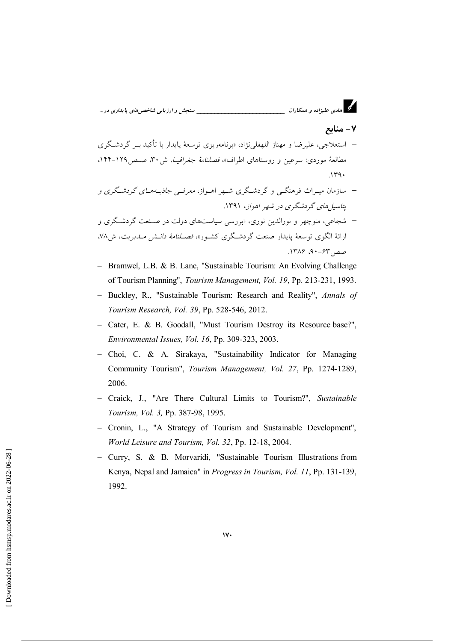

- Bramwel, L.B. & B. Lane, "Sustainable Tourism: An Evolving Challenge of Tourism Planning", Tourism Management, Vol. 19, Pp. 213-231, 1993.
- Buckley, R., "Sustainable Tourism: Research and Reality", Annals of Tourism Research, Vol. 39, Pp. 528-546, 2012.
- Cater, E. & B. Goodall, "Must Tourism Destroy its Resource base?", Environmental Issues, Vol. 16, Pp. 309-323, 2003.
- Choi, C. & A. Sirakaya, "Sustainability Indicator for Managing Community Tourism", Tourism Management, Vol. 27, Pp. 1274-1289, 2006.
- Craick, J., "Are There Cultural Limits to Tourism?", Sustainable Tourism, Vol. 3, Pp. 387-98, 1995.
- Cronin, L., "A Strategy of Tourism and Sustainable Development", World Leisure and Tourism, Vol. 32, Pp. 12-18, 2004.
- Curry, S. & B. Morvaridi, "Sustainable Tourism Illustrations from Kenya, Nepal and Jamaica" in Progress in Tourism, Vol. 11, Pp. 131-139, 1992.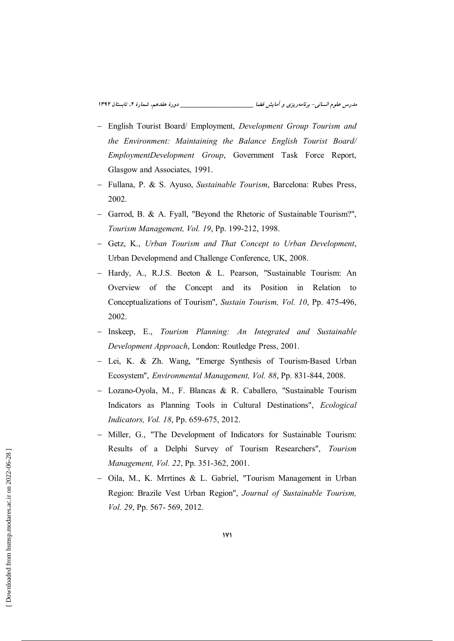- English Tourist Board/ Employment, Development Group Tourism and the Environment: Maintaining the Balance English Tourist Board/ EmploymentDevelopment Group, Government Task Force Report, Glasgow and Associates, 1991.
- Fullana, P. & S. Ayuso, Sustainable Tourism, Barcelona: Rubes Press, 2002.
- Garrod, B. & A. Fyall, "Beyond the Rhetoric of Sustainable Tourism?", Tourism Management, Vol. 19, Pp. 199-212, 1998.
- Getz, K., Urban Tourism and That Concept to Urban Development, Urban Developmend and Challenge Conference, UK, 2008.
- Hardy, A., R.J.S. Beeton & L. Pearson, "Sustainable Tourism: An Overview of the Concept and its Position in Relation to Conceptualizations of Tourism", Sustain Tourism, Vol. 10, Pp. 475-496, 2002.
- Inskeep, E., Tourism Planning: An Integrated and Sustainable Development Approach, London: Routledge Press, 2001.
- Lei, K. & Zh. Wang, "Emerge Synthesis of Tourism-Based Urban Ecosystem", Environmental Management, Vol. 88, Pp. 831-844, 2008.
- Lozano-Ovola, M., F. Blancas & R. Caballero, "Sustainable Tourism Indicators as Planning Tools in Cultural Destinations", Ecological Indicators, Vol. 18, Pp. 659-675, 2012.
- Miller, G., "The Development of Indicators for Sustainable Tourism: Results of a Delphi Survey of Tourism Researchers", Tourism Management, Vol. 22, Pp. 351-362, 2001.
- Oila, M., K. Mrrtines & L. Gabriel, "Tourism Management in Urban Region: Brazile Vest Urban Region", Journal of Sustainable Tourism, Vol. 29, Pp. 567-569, 2012.